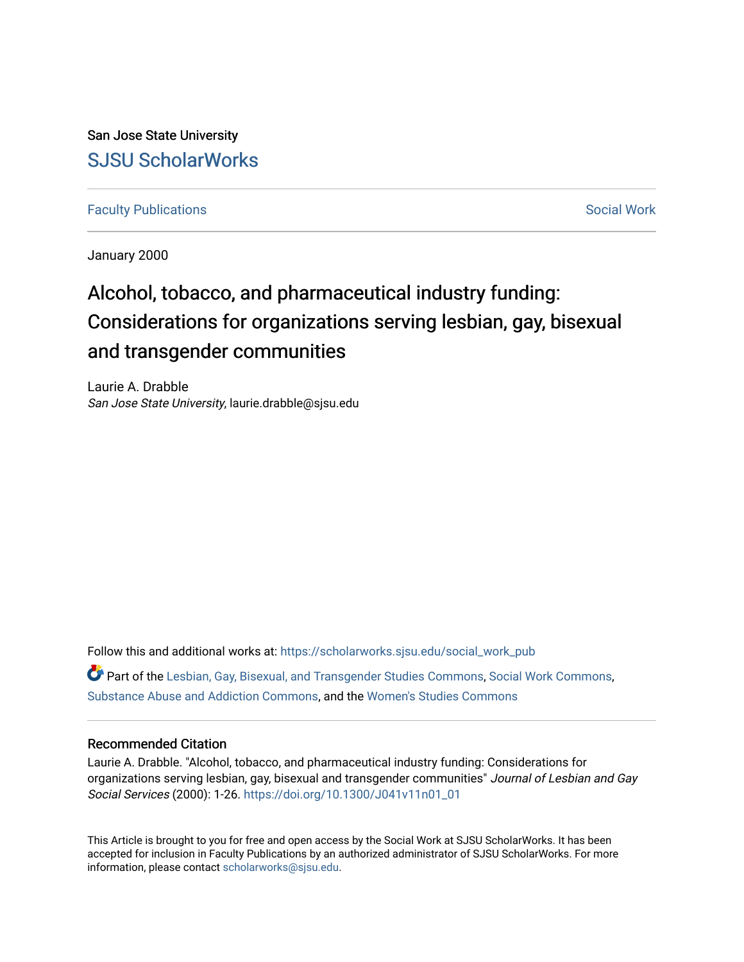San Jose State University [SJSU ScholarWorks](https://scholarworks.sjsu.edu/) 

**[Faculty Publications](https://scholarworks.sjsu.edu/social_work_pub) [Social Work](https://scholarworks.sjsu.edu/social_work) Social Work** 

January 2000

# Alcohol, tobacco, and pharmaceutical industry funding: Considerations for organizations serving lesbian, gay, bisexual and transgender communities

Laurie A. Drabble San Jose State University, laurie.drabble@sjsu.edu

Follow this and additional works at: [https://scholarworks.sjsu.edu/social\\_work\\_pub](https://scholarworks.sjsu.edu/social_work_pub?utm_source=scholarworks.sjsu.edu%2Fsocial_work_pub%2F22&utm_medium=PDF&utm_campaign=PDFCoverPages)  Part of the [Lesbian, Gay, Bisexual, and Transgender Studies Commons](http://network.bepress.com/hgg/discipline/560?utm_source=scholarworks.sjsu.edu%2Fsocial_work_pub%2F22&utm_medium=PDF&utm_campaign=PDFCoverPages), [Social Work Commons,](http://network.bepress.com/hgg/discipline/713?utm_source=scholarworks.sjsu.edu%2Fsocial_work_pub%2F22&utm_medium=PDF&utm_campaign=PDFCoverPages) [Substance Abuse and Addiction Commons](http://network.bepress.com/hgg/discipline/710?utm_source=scholarworks.sjsu.edu%2Fsocial_work_pub%2F22&utm_medium=PDF&utm_campaign=PDFCoverPages), and the [Women's Studies Commons](http://network.bepress.com/hgg/discipline/561?utm_source=scholarworks.sjsu.edu%2Fsocial_work_pub%2F22&utm_medium=PDF&utm_campaign=PDFCoverPages)

## Recommended Citation

Laurie A. Drabble. "Alcohol, tobacco, and pharmaceutical industry funding: Considerations for organizations serving lesbian, gay, bisexual and transgender communities" Journal of Lesbian and Gay Social Services (2000): 1-26. [https://doi.org/10.1300/J041v11n01\\_01](https://doi.org/10.1300/J041v11n01_01) 

This Article is brought to you for free and open access by the Social Work at SJSU ScholarWorks. It has been accepted for inclusion in Faculty Publications by an authorized administrator of SJSU ScholarWorks. For more information, please contact [scholarworks@sjsu.edu.](mailto:scholarworks@sjsu.edu)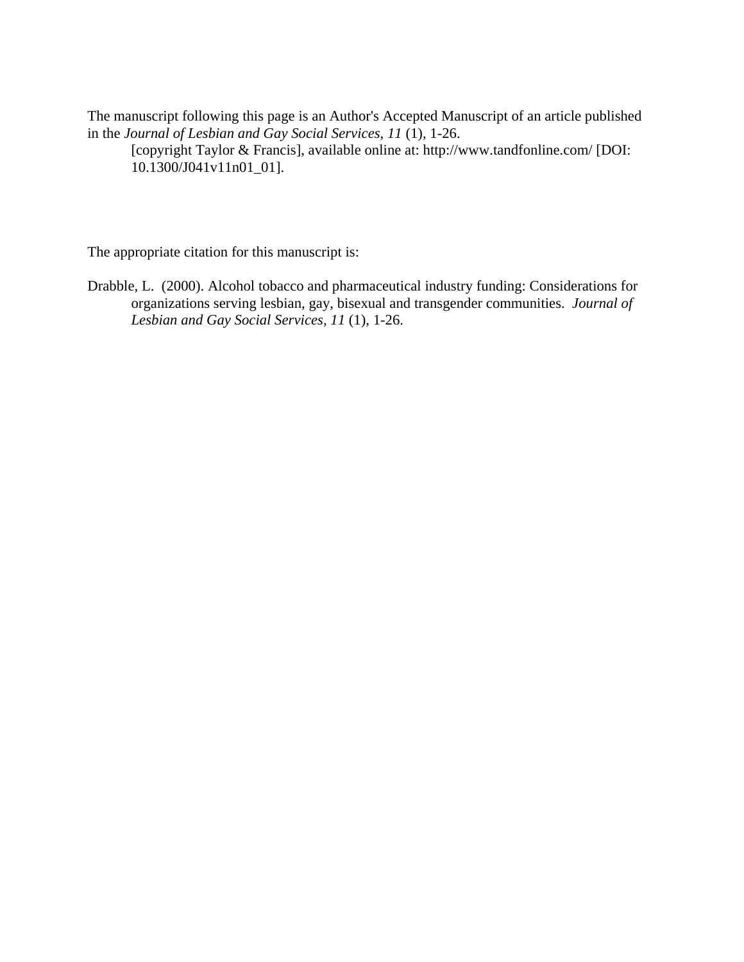The manuscript following this page is an Author's Accepted Manuscript of an article published in the *Journal of Lesbian and Gay Social Services, 11* (1), 1-26.

[copyright Taylor & Francis], available online at: http://www.tandfonline.com/ [DOI: 10.1300/J041v11n01\_01].

The appropriate citation for this manuscript is:

Drabble, L. (2000). Alcohol tobacco and pharmaceutical industry funding: Considerations for organizations serving lesbian, gay, bisexual and transgender communities. *Journal of Lesbian and Gay Social Services, 11* (1), 1-26.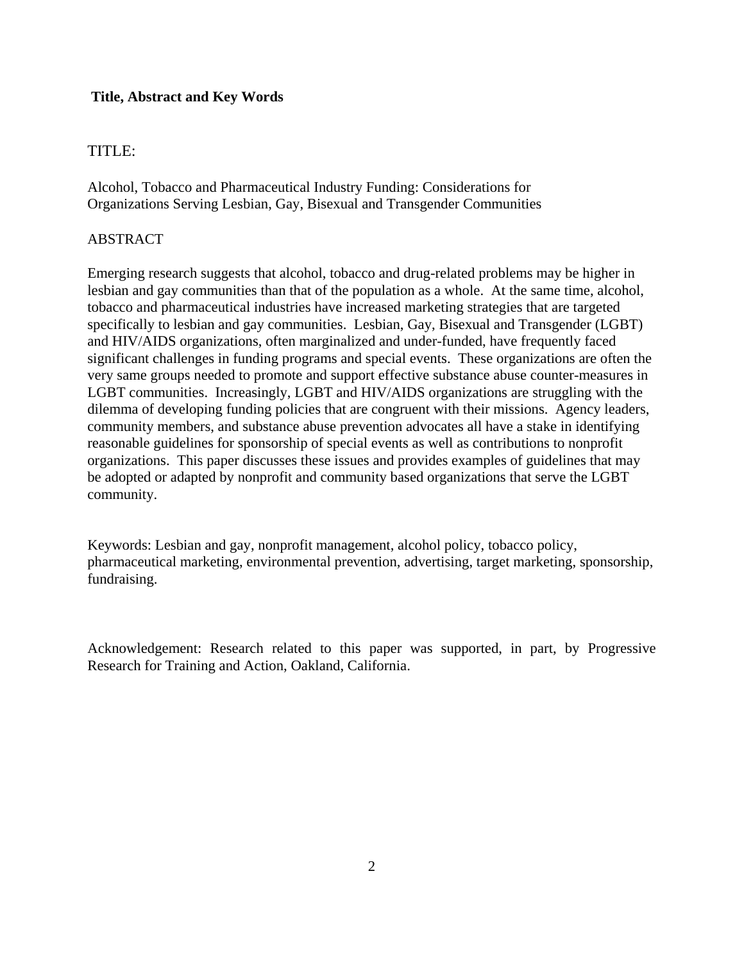# **Title, Abstract and Key Words**

# TITLE:

Alcohol, Tobacco and Pharmaceutical Industry Funding: Considerations for Organizations Serving Lesbian, Gay, Bisexual and Transgender Communities

# ABSTRACT

Emerging research suggests that alcohol, tobacco and drug-related problems may be higher in lesbian and gay communities than that of the population as a whole. At the same time, alcohol, tobacco and pharmaceutical industries have increased marketing strategies that are targeted specifically to lesbian and gay communities. Lesbian, Gay, Bisexual and Transgender (LGBT) and HIV/AIDS organizations, often marginalized and under-funded, have frequently faced significant challenges in funding programs and special events. These organizations are often the very same groups needed to promote and support effective substance abuse counter-measures in LGBT communities. Increasingly, LGBT and HIV/AIDS organizations are struggling with the dilemma of developing funding policies that are congruent with their missions. Agency leaders, community members, and substance abuse prevention advocates all have a stake in identifying reasonable guidelines for sponsorship of special events as well as contributions to nonprofit organizations. This paper discusses these issues and provides examples of guidelines that may be adopted or adapted by nonprofit and community based organizations that serve the LGBT community.

Keywords: Lesbian and gay, nonprofit management, alcohol policy, tobacco policy, pharmaceutical marketing, environmental prevention, advertising, target marketing, sponsorship, fundraising.

Acknowledgement: Research related to this paper was supported, in part, by Progressive Research for Training and Action, Oakland, California.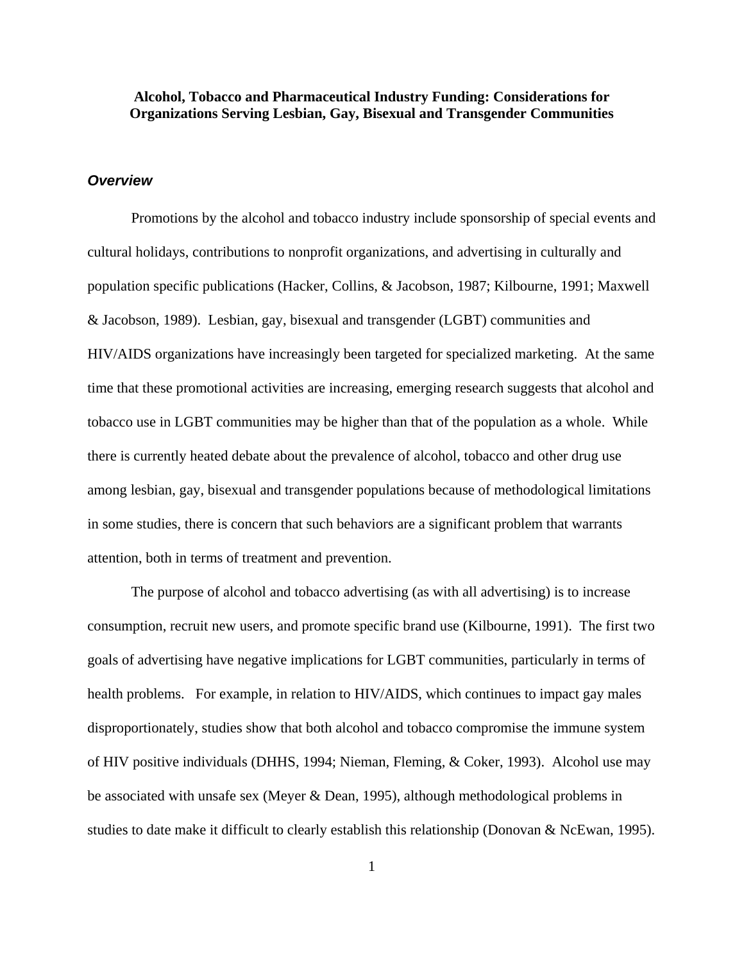# **Alcohol, Tobacco and Pharmaceutical Industry Funding: Considerations for Organizations Serving Lesbian, Gay, Bisexual and Transgender Communities**

## *Overview*

 Promotions by the alcohol and tobacco industry include sponsorship of special events and cultural holidays, contributions to nonprofit organizations, and advertising in culturally and population specific publications (Hacker, Collins, & Jacobson, 1987; Kilbourne, 1991; Maxwell & Jacobson, 1989). Lesbian, gay, bisexual and transgender (LGBT) communities and HIV/AIDS organizations have increasingly been targeted for specialized marketing. At the same time that these promotional activities are increasing, emerging research suggests that alcohol and tobacco use in LGBT communities may be higher than that of the population as a whole. While there is currently heated debate about the prevalence of alcohol, tobacco and other drug use among lesbian, gay, bisexual and transgender populations because of methodological limitations in some studies, there is concern that such behaviors are a significant problem that warrants attention, both in terms of treatment and prevention.

 The purpose of alcohol and tobacco advertising (as with all advertising) is to increase consumption, recruit new users, and promote specific brand use (Kilbourne, 1991). The first two goals of advertising have negative implications for LGBT communities, particularly in terms of health problems. For example, in relation to HIV/AIDS, which continues to impact gay males disproportionately, studies show that both alcohol and tobacco compromise the immune system of HIV positive individuals (DHHS, 1994; Nieman, Fleming, & Coker, 1993). Alcohol use may be associated with unsafe sex (Meyer & Dean, 1995), although methodological problems in studies to date make it difficult to clearly establish this relationship (Donovan & NcEwan, 1995).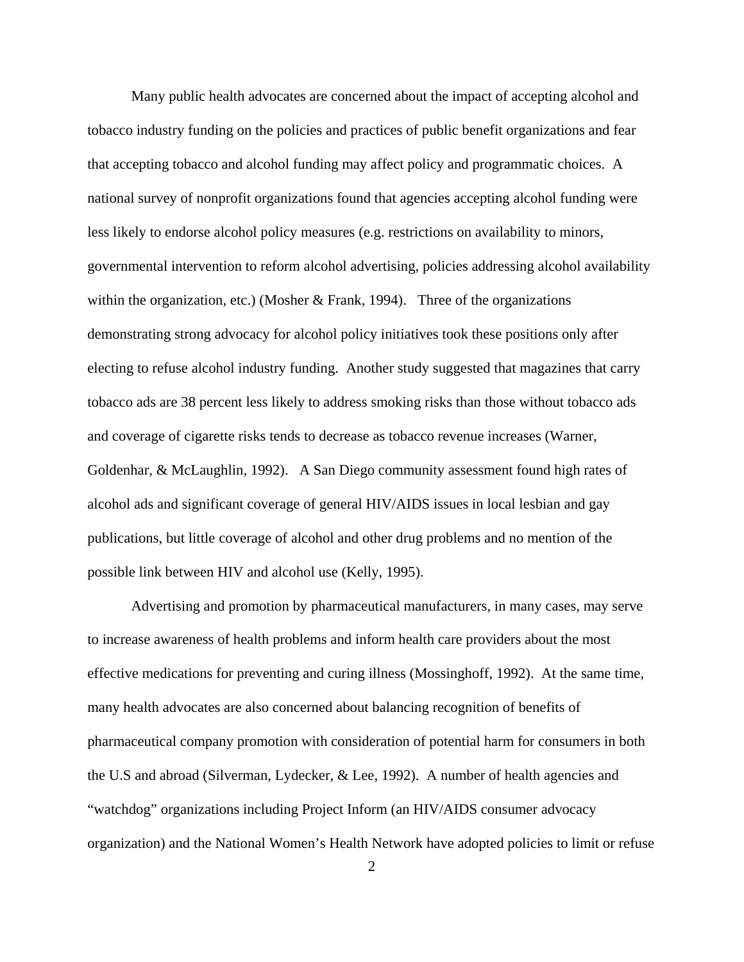Many public health advocates are concerned about the impact of accepting alcohol and tobacco industry funding on the policies and practices of public benefit organizations and fear that accepting tobacco and alcohol funding may affect policy and programmatic choices. A national survey of nonprofit organizations found that agencies accepting alcohol funding were less likely to endorse alcohol policy measures (e.g. restrictions on availability to minors, governmental intervention to reform alcohol advertising, policies addressing alcohol availability within the organization, etc.) (Mosher & Frank, 1994). Three of the organizations demonstrating strong advocacy for alcohol policy initiatives took these positions only after electing to refuse alcohol industry funding. Another study suggested that magazines that carry tobacco ads are 38 percent less likely to address smoking risks than those without tobacco ads and coverage of cigarette risks tends to decrease as tobacco revenue increases (Warner, Goldenhar, & McLaughlin, 1992). A San Diego community assessment found high rates of alcohol ads and significant coverage of general HIV/AIDS issues in local lesbian and gay publications, but little coverage of alcohol and other drug problems and no mention of the possible link between HIV and alcohol use (Kelly, 1995).

 Advertising and promotion by pharmaceutical manufacturers, in many cases, may serve to increase awareness of health problems and inform health care providers about the most effective medications for preventing and curing illness (Mossinghoff, 1992). At the same time, many health advocates are also concerned about balancing recognition of benefits of pharmaceutical company promotion with consideration of potential harm for consumers in both the U.S and abroad (Silverman, Lydecker, & Lee, 1992). A number of health agencies and "watchdog" organizations including Project Inform (an HIV/AIDS consumer advocacy organization) and the National Women's Health Network have adopted policies to limit or refuse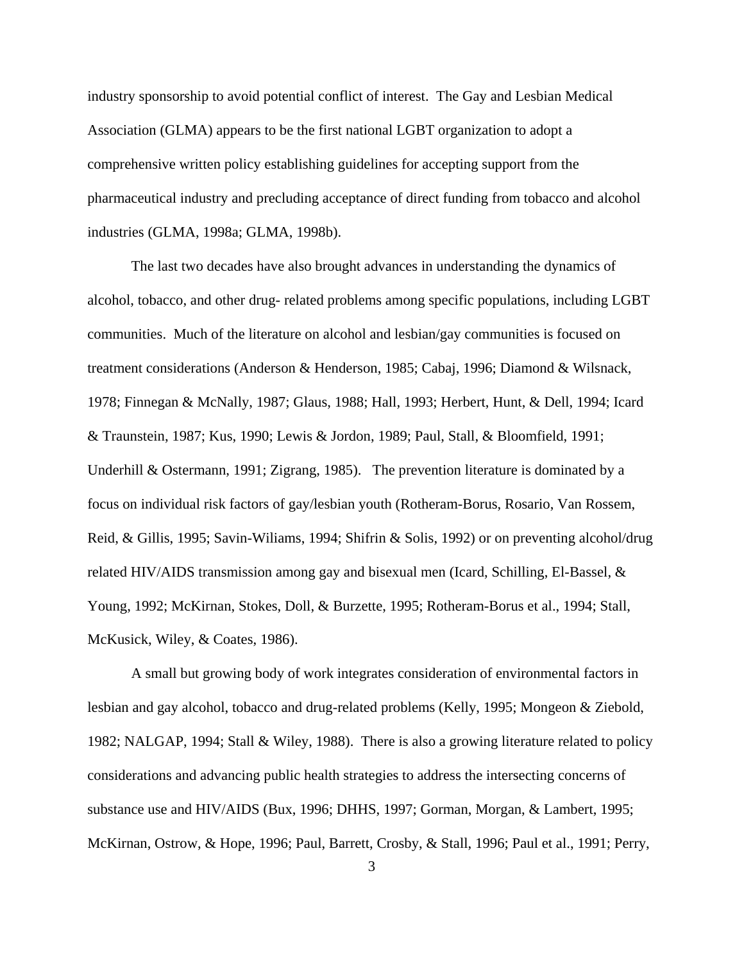industry sponsorship to avoid potential conflict of interest. The Gay and Lesbian Medical Association (GLMA) appears to be the first national LGBT organization to adopt a comprehensive written policy establishing guidelines for accepting support from the pharmaceutical industry and precluding acceptance of direct funding from tobacco and alcohol industries (GLMA, 1998a; GLMA, 1998b).

 The last two decades have also brought advances in understanding the dynamics of alcohol, tobacco, and other drug- related problems among specific populations, including LGBT communities. Much of the literature on alcohol and lesbian/gay communities is focused on treatment considerations (Anderson & Henderson, 1985; Cabaj, 1996; Diamond & Wilsnack, 1978; Finnegan & McNally, 1987; Glaus, 1988; Hall, 1993; Herbert, Hunt, & Dell, 1994; Icard & Traunstein, 1987; Kus, 1990; Lewis & Jordon, 1989; Paul, Stall, & Bloomfield, 1991; Underhill & Ostermann, 1991; Zigrang, 1985). The prevention literature is dominated by a focus on individual risk factors of gay/lesbian youth (Rotheram-Borus, Rosario, Van Rossem, Reid, & Gillis, 1995; Savin-Wiliams, 1994; Shifrin & Solis, 1992) or on preventing alcohol/drug related HIV/AIDS transmission among gay and bisexual men (Icard, Schilling, El-Bassel, & Young, 1992; McKirnan, Stokes, Doll, & Burzette, 1995; Rotheram-Borus et al., 1994; Stall, McKusick, Wiley, & Coates, 1986).

A small but growing body of work integrates consideration of environmental factors in lesbian and gay alcohol, tobacco and drug-related problems (Kelly, 1995; Mongeon & Ziebold, 1982; NALGAP, 1994; Stall & Wiley, 1988). There is also a growing literature related to policy considerations and advancing public health strategies to address the intersecting concerns of substance use and HIV/AIDS (Bux, 1996; DHHS, 1997; Gorman, Morgan, & Lambert, 1995; McKirnan, Ostrow, & Hope, 1996; Paul, Barrett, Crosby, & Stall, 1996; Paul et al., 1991; Perry,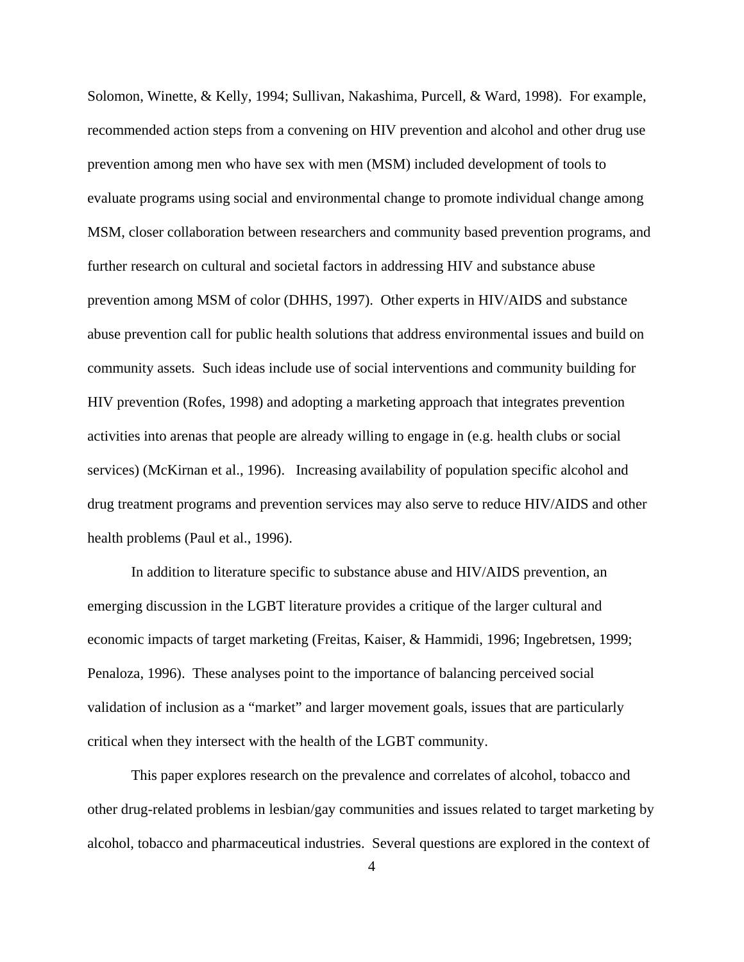Solomon, Winette, & Kelly, 1994; Sullivan, Nakashima, Purcell, & Ward, 1998). For example, recommended action steps from a convening on HIV prevention and alcohol and other drug use prevention among men who have sex with men (MSM) included development of tools to evaluate programs using social and environmental change to promote individual change among MSM, closer collaboration between researchers and community based prevention programs, and further research on cultural and societal factors in addressing HIV and substance abuse prevention among MSM of color (DHHS, 1997). Other experts in HIV/AIDS and substance abuse prevention call for public health solutions that address environmental issues and build on community assets. Such ideas include use of social interventions and community building for HIV prevention (Rofes, 1998) and adopting a marketing approach that integrates prevention activities into arenas that people are already willing to engage in (e.g. health clubs or social services) (McKirnan et al., 1996). Increasing availability of population specific alcohol and drug treatment programs and prevention services may also serve to reduce HIV/AIDS and other health problems (Paul et al., 1996).

In addition to literature specific to substance abuse and HIV/AIDS prevention, an emerging discussion in the LGBT literature provides a critique of the larger cultural and economic impacts of target marketing (Freitas, Kaiser, & Hammidi, 1996; Ingebretsen, 1999; Penaloza, 1996). These analyses point to the importance of balancing perceived social validation of inclusion as a "market" and larger movement goals, issues that are particularly critical when they intersect with the health of the LGBT community.

 This paper explores research on the prevalence and correlates of alcohol, tobacco and other drug-related problems in lesbian/gay communities and issues related to target marketing by alcohol, tobacco and pharmaceutical industries. Several questions are explored in the context of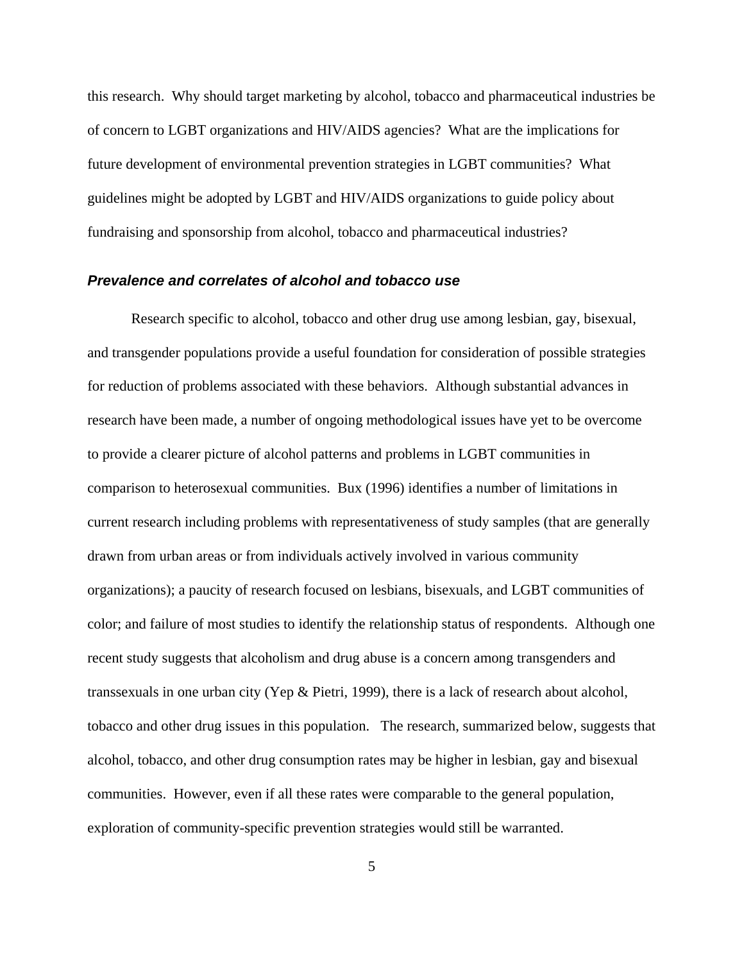this research. Why should target marketing by alcohol, tobacco and pharmaceutical industries be of concern to LGBT organizations and HIV/AIDS agencies? What are the implications for future development of environmental prevention strategies in LGBT communities? What guidelines might be adopted by LGBT and HIV/AIDS organizations to guide policy about fundraising and sponsorship from alcohol, tobacco and pharmaceutical industries?

## *Prevalence and correlates of alcohol and tobacco use*

Research specific to alcohol, tobacco and other drug use among lesbian, gay, bisexual, and transgender populations provide a useful foundation for consideration of possible strategies for reduction of problems associated with these behaviors. Although substantial advances in research have been made, a number of ongoing methodological issues have yet to be overcome to provide a clearer picture of alcohol patterns and problems in LGBT communities in comparison to heterosexual communities. Bux (1996) identifies a number of limitations in current research including problems with representativeness of study samples (that are generally drawn from urban areas or from individuals actively involved in various community organizations); a paucity of research focused on lesbians, bisexuals, and LGBT communities of color; and failure of most studies to identify the relationship status of respondents. Although one recent study suggests that alcoholism and drug abuse is a concern among transgenders and transsexuals in one urban city (Yep & Pietri, 1999), there is a lack of research about alcohol, tobacco and other drug issues in this population. The research, summarized below, suggests that alcohol, tobacco, and other drug consumption rates may be higher in lesbian, gay and bisexual communities. However, even if all these rates were comparable to the general population, exploration of community-specific prevention strategies would still be warranted.

5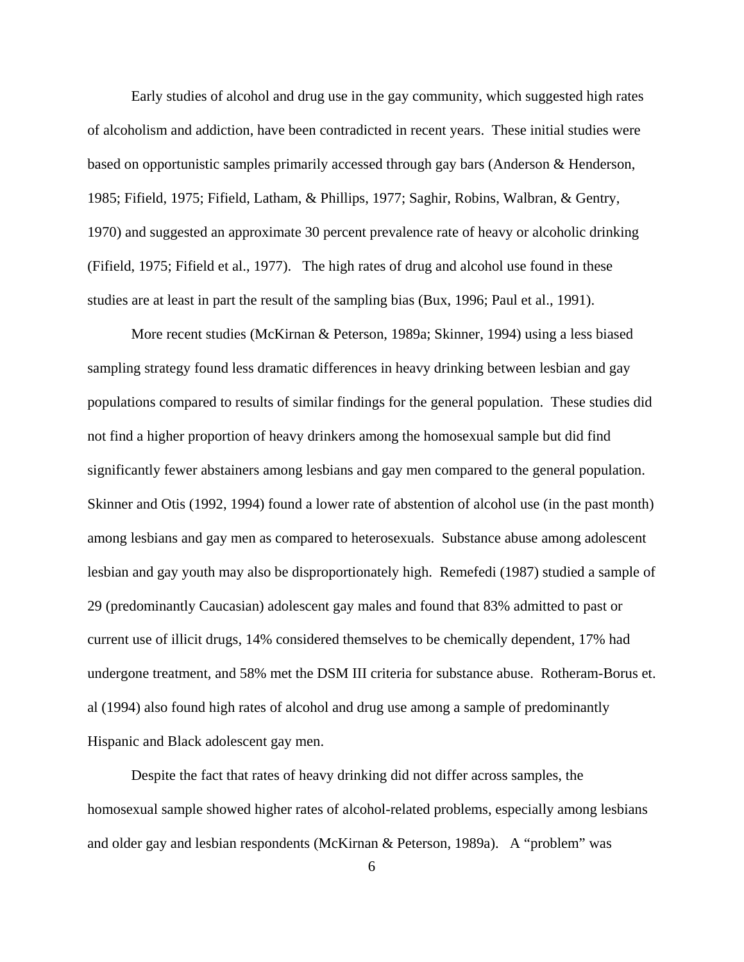Early studies of alcohol and drug use in the gay community, which suggested high rates of alcoholism and addiction, have been contradicted in recent years. These initial studies were based on opportunistic samples primarily accessed through gay bars (Anderson & Henderson, 1985; Fifield, 1975; Fifield, Latham, & Phillips, 1977; Saghir, Robins, Walbran, & Gentry, 1970) and suggested an approximate 30 percent prevalence rate of heavy or alcoholic drinking (Fifield, 1975; Fifield et al., 1977). The high rates of drug and alcohol use found in these studies are at least in part the result of the sampling bias (Bux, 1996; Paul et al., 1991).

More recent studies (McKirnan & Peterson, 1989a; Skinner, 1994) using a less biased sampling strategy found less dramatic differences in heavy drinking between lesbian and gay populations compared to results of similar findings for the general population. These studies did not find a higher proportion of heavy drinkers among the homosexual sample but did find significantly fewer abstainers among lesbians and gay men compared to the general population. Skinner and Otis (1992, 1994) found a lower rate of abstention of alcohol use (in the past month) among lesbians and gay men as compared to heterosexuals. Substance abuse among adolescent lesbian and gay youth may also be disproportionately high. Remefedi (1987) studied a sample of 29 (predominantly Caucasian) adolescent gay males and found that 83% admitted to past or current use of illicit drugs, 14% considered themselves to be chemically dependent, 17% had undergone treatment, and 58% met the DSM III criteria for substance abuse. Rotheram-Borus et. al (1994) also found high rates of alcohol and drug use among a sample of predominantly Hispanic and Black adolescent gay men.

Despite the fact that rates of heavy drinking did not differ across samples, the homosexual sample showed higher rates of alcohol-related problems, especially among lesbians and older gay and lesbian respondents (McKirnan & Peterson, 1989a). A "problem" was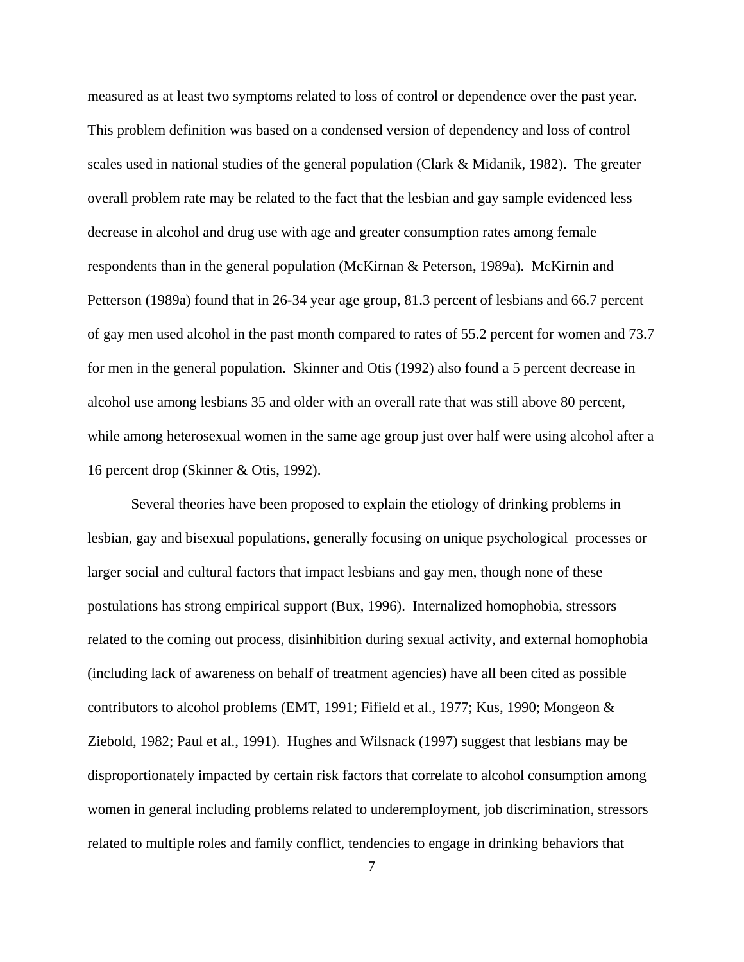measured as at least two symptoms related to loss of control or dependence over the past year. This problem definition was based on a condensed version of dependency and loss of control scales used in national studies of the general population (Clark  $\&$  Midanik, 1982). The greater overall problem rate may be related to the fact that the lesbian and gay sample evidenced less decrease in alcohol and drug use with age and greater consumption rates among female respondents than in the general population (McKirnan & Peterson, 1989a). McKirnin and Petterson (1989a) found that in 26-34 year age group, 81.3 percent of lesbians and 66.7 percent of gay men used alcohol in the past month compared to rates of 55.2 percent for women and 73.7 for men in the general population. Skinner and Otis (1992) also found a 5 percent decrease in alcohol use among lesbians 35 and older with an overall rate that was still above 80 percent, while among heterosexual women in the same age group just over half were using alcohol after a 16 percent drop (Skinner & Otis, 1992).

Several theories have been proposed to explain the etiology of drinking problems in lesbian, gay and bisexual populations, generally focusing on unique psychological processes or larger social and cultural factors that impact lesbians and gay men, though none of these postulations has strong empirical support (Bux, 1996). Internalized homophobia, stressors related to the coming out process, disinhibition during sexual activity, and external homophobia (including lack of awareness on behalf of treatment agencies) have all been cited as possible contributors to alcohol problems (EMT, 1991; Fifield et al., 1977; Kus, 1990; Mongeon & Ziebold, 1982; Paul et al., 1991). Hughes and Wilsnack (1997) suggest that lesbians may be disproportionately impacted by certain risk factors that correlate to alcohol consumption among women in general including problems related to underemployment, job discrimination, stressors related to multiple roles and family conflict, tendencies to engage in drinking behaviors that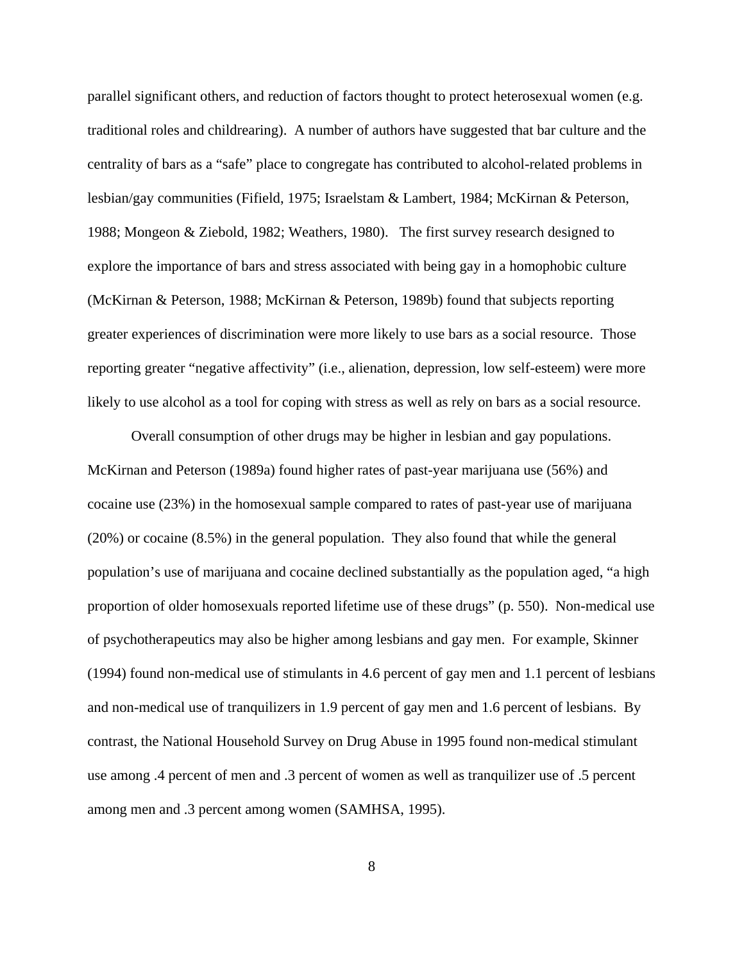parallel significant others, and reduction of factors thought to protect heterosexual women (e.g. traditional roles and childrearing). A number of authors have suggested that bar culture and the centrality of bars as a "safe" place to congregate has contributed to alcohol-related problems in lesbian/gay communities (Fifield, 1975; Israelstam & Lambert, 1984; McKirnan & Peterson, 1988; Mongeon & Ziebold, 1982; Weathers, 1980). The first survey research designed to explore the importance of bars and stress associated with being gay in a homophobic culture (McKirnan & Peterson, 1988; McKirnan & Peterson, 1989b) found that subjects reporting greater experiences of discrimination were more likely to use bars as a social resource. Those reporting greater "negative affectivity" (i.e., alienation, depression, low self-esteem) were more likely to use alcohol as a tool for coping with stress as well as rely on bars as a social resource.

Overall consumption of other drugs may be higher in lesbian and gay populations. McKirnan and Peterson (1989a) found higher rates of past-year marijuana use (56%) and cocaine use (23%) in the homosexual sample compared to rates of past-year use of marijuana (20%) or cocaine (8.5%) in the general population. They also found that while the general population's use of marijuana and cocaine declined substantially as the population aged, "a high proportion of older homosexuals reported lifetime use of these drugs" (p. 550). Non-medical use of psychotherapeutics may also be higher among lesbians and gay men. For example, Skinner (1994) found non-medical use of stimulants in 4.6 percent of gay men and 1.1 percent of lesbians and non-medical use of tranquilizers in 1.9 percent of gay men and 1.6 percent of lesbians. By contrast, the National Household Survey on Drug Abuse in 1995 found non-medical stimulant use among .4 percent of men and .3 percent of women as well as tranquilizer use of .5 percent among men and .3 percent among women (SAMHSA, 1995).

8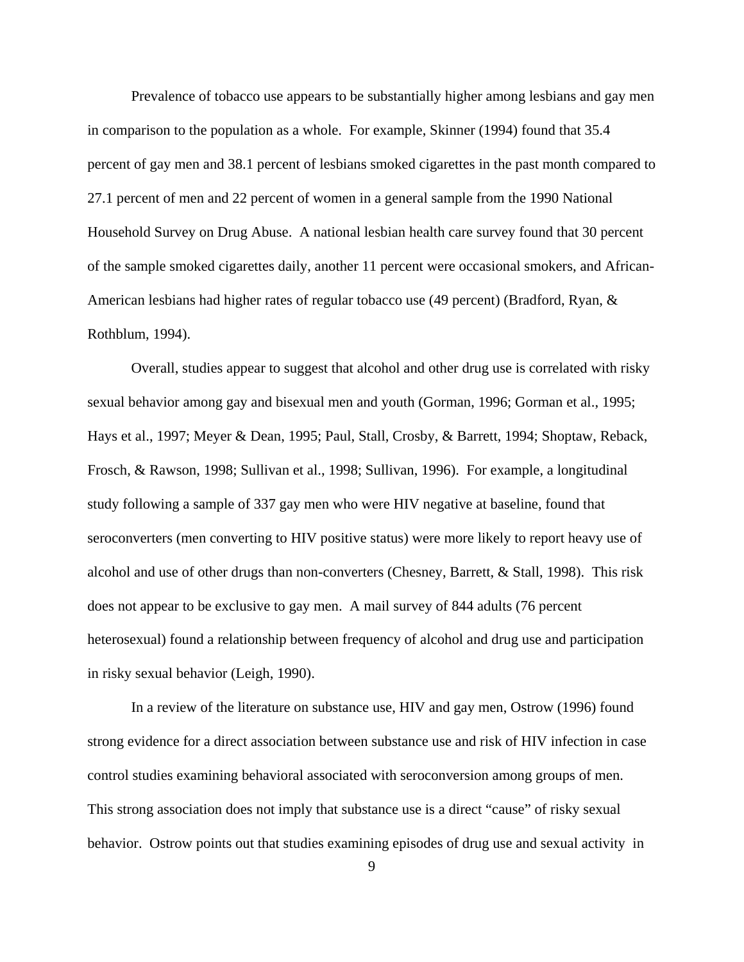Prevalence of tobacco use appears to be substantially higher among lesbians and gay men in comparison to the population as a whole. For example, Skinner (1994) found that 35.4 percent of gay men and 38.1 percent of lesbians smoked cigarettes in the past month compared to 27.1 percent of men and 22 percent of women in a general sample from the 1990 National Household Survey on Drug Abuse. A national lesbian health care survey found that 30 percent of the sample smoked cigarettes daily, another 11 percent were occasional smokers, and African-American lesbians had higher rates of regular tobacco use (49 percent) (Bradford, Ryan, & Rothblum, 1994).

Overall, studies appear to suggest that alcohol and other drug use is correlated with risky sexual behavior among gay and bisexual men and youth (Gorman, 1996; Gorman et al., 1995; Hays et al., 1997; Meyer & Dean, 1995; Paul, Stall, Crosby, & Barrett, 1994; Shoptaw, Reback, Frosch, & Rawson, 1998; Sullivan et al., 1998; Sullivan, 1996). For example, a longitudinal study following a sample of 337 gay men who were HIV negative at baseline, found that seroconverters (men converting to HIV positive status) were more likely to report heavy use of alcohol and use of other drugs than non-converters (Chesney, Barrett, & Stall, 1998). This risk does not appear to be exclusive to gay men. A mail survey of 844 adults (76 percent heterosexual) found a relationship between frequency of alcohol and drug use and participation in risky sexual behavior (Leigh, 1990).

In a review of the literature on substance use, HIV and gay men, Ostrow (1996) found strong evidence for a direct association between substance use and risk of HIV infection in case control studies examining behavioral associated with seroconversion among groups of men. This strong association does not imply that substance use is a direct "cause" of risky sexual behavior. Ostrow points out that studies examining episodes of drug use and sexual activity in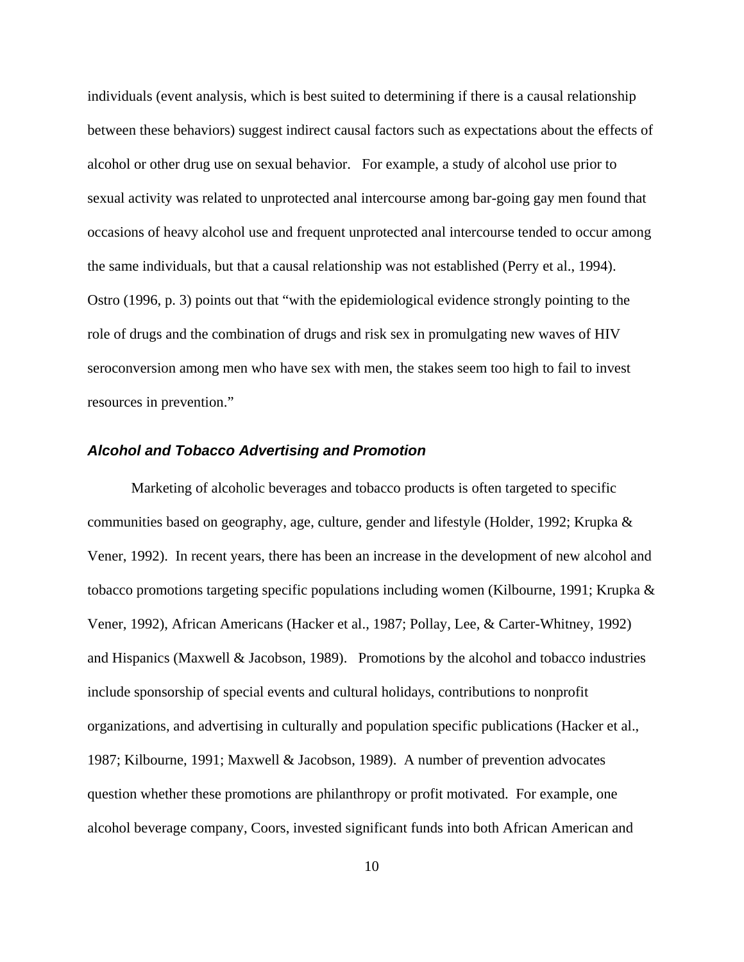individuals (event analysis, which is best suited to determining if there is a causal relationship between these behaviors) suggest indirect causal factors such as expectations about the effects of alcohol or other drug use on sexual behavior. For example, a study of alcohol use prior to sexual activity was related to unprotected anal intercourse among bar-going gay men found that occasions of heavy alcohol use and frequent unprotected anal intercourse tended to occur among the same individuals, but that a causal relationship was not established (Perry et al., 1994). Ostro (1996, p. 3) points out that "with the epidemiological evidence strongly pointing to the role of drugs and the combination of drugs and risk sex in promulgating new waves of HIV seroconversion among men who have sex with men, the stakes seem too high to fail to invest resources in prevention."

# *Alcohol and Tobacco Advertising and Promotion*

Marketing of alcoholic beverages and tobacco products is often targeted to specific communities based on geography, age, culture, gender and lifestyle (Holder, 1992; Krupka & Vener, 1992). In recent years, there has been an increase in the development of new alcohol and tobacco promotions targeting specific populations including women (Kilbourne, 1991; Krupka & Vener, 1992), African Americans (Hacker et al., 1987; Pollay, Lee, & Carter-Whitney, 1992) and Hispanics (Maxwell & Jacobson, 1989). Promotions by the alcohol and tobacco industries include sponsorship of special events and cultural holidays, contributions to nonprofit organizations, and advertising in culturally and population specific publications (Hacker et al., 1987; Kilbourne, 1991; Maxwell & Jacobson, 1989). A number of prevention advocates question whether these promotions are philanthropy or profit motivated. For example, one alcohol beverage company, Coors, invested significant funds into both African American and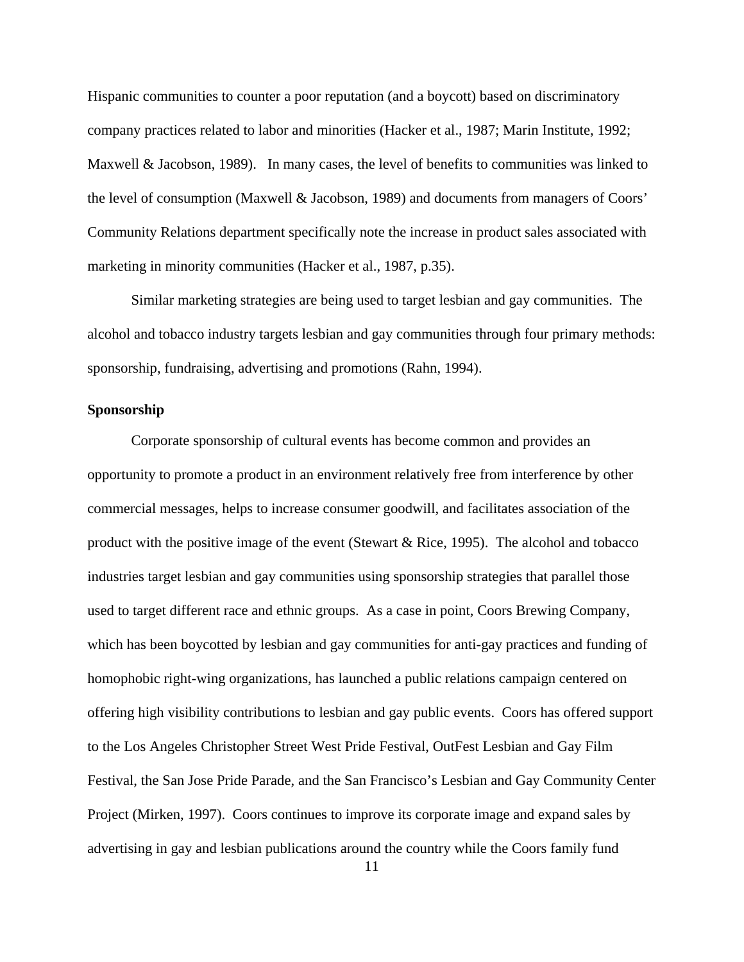Hispanic communities to counter a poor reputation (and a boycott) based on discriminatory company practices related to labor and minorities (Hacker et al., 1987; Marin Institute, 1992; Maxwell & Jacobson, 1989). In many cases, the level of benefits to communities was linked to the level of consumption (Maxwell & Jacobson, 1989) and documents from managers of Coors' Community Relations department specifically note the increase in product sales associated with marketing in minority communities (Hacker et al., 1987, p.35).

 Similar marketing strategies are being used to target lesbian and gay communities. The alcohol and tobacco industry targets lesbian and gay communities through four primary methods: sponsorship, fundraising, advertising and promotions (Rahn, 1994).

## **Sponsorship**

 Corporate sponsorship of cultural events has become common and provides an opportunity to promote a product in an environment relatively free from interference by other commercial messages, helps to increase consumer goodwill, and facilitates association of the product with the positive image of the event (Stewart & Rice, 1995). The alcohol and tobacco industries target lesbian and gay communities using sponsorship strategies that parallel those used to target different race and ethnic groups. As a case in point, Coors Brewing Company, which has been boycotted by lesbian and gay communities for anti-gay practices and funding of homophobic right-wing organizations, has launched a public relations campaign centered on offering high visibility contributions to lesbian and gay public events. Coors has offered support to the Los Angeles Christopher Street West Pride Festival, OutFest Lesbian and Gay Film Festival, the San Jose Pride Parade, and the San Francisco's Lesbian and Gay Community Center Project (Mirken, 1997). Coors continues to improve its corporate image and expand sales by advertising in gay and lesbian publications around the country while the Coors family fund

11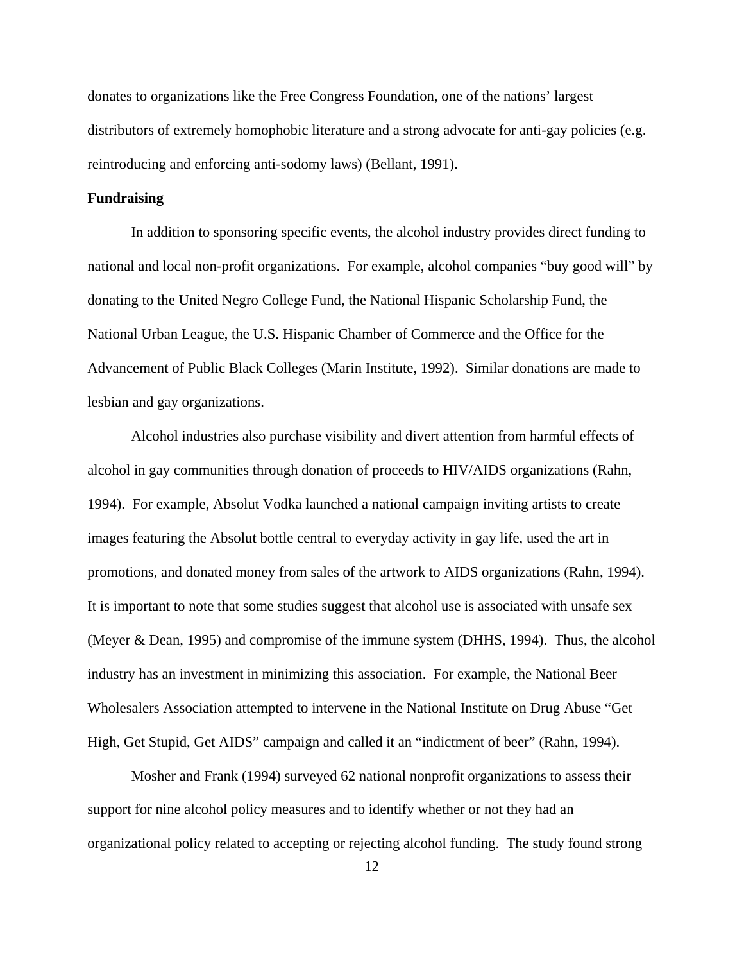donates to organizations like the Free Congress Foundation, one of the nations' largest distributors of extremely homophobic literature and a strong advocate for anti-gay policies (e.g. reintroducing and enforcing anti-sodomy laws) (Bellant, 1991).

#### **Fundraising**

 In addition to sponsoring specific events, the alcohol industry provides direct funding to national and local non-profit organizations. For example, alcohol companies "buy good will" by donating to the United Negro College Fund, the National Hispanic Scholarship Fund, the National Urban League, the U.S. Hispanic Chamber of Commerce and the Office for the Advancement of Public Black Colleges (Marin Institute, 1992). Similar donations are made to lesbian and gay organizations.

 Alcohol industries also purchase visibility and divert attention from harmful effects of alcohol in gay communities through donation of proceeds to HIV/AIDS organizations (Rahn, 1994). For example, Absolut Vodka launched a national campaign inviting artists to create images featuring the Absolut bottle central to everyday activity in gay life, used the art in promotions, and donated money from sales of the artwork to AIDS organizations (Rahn, 1994). It is important to note that some studies suggest that alcohol use is associated with unsafe sex (Meyer & Dean, 1995) and compromise of the immune system (DHHS, 1994). Thus, the alcohol industry has an investment in minimizing this association. For example, the National Beer Wholesalers Association attempted to intervene in the National Institute on Drug Abuse "Get High, Get Stupid, Get AIDS" campaign and called it an "indictment of beer" (Rahn, 1994).

 Mosher and Frank (1994) surveyed 62 national nonprofit organizations to assess their support for nine alcohol policy measures and to identify whether or not they had an organizational policy related to accepting or rejecting alcohol funding. The study found strong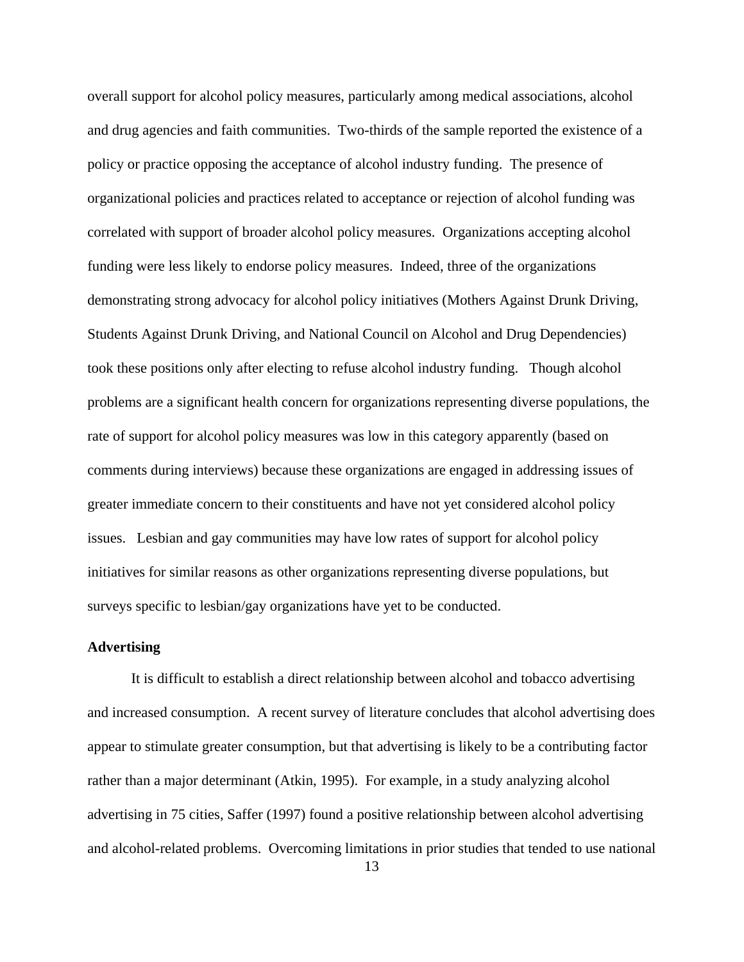overall support for alcohol policy measures, particularly among medical associations, alcohol and drug agencies and faith communities. Two-thirds of the sample reported the existence of a policy or practice opposing the acceptance of alcohol industry funding. The presence of organizational policies and practices related to acceptance or rejection of alcohol funding was correlated with support of broader alcohol policy measures. Organizations accepting alcohol funding were less likely to endorse policy measures. Indeed, three of the organizations demonstrating strong advocacy for alcohol policy initiatives (Mothers Against Drunk Driving, Students Against Drunk Driving, and National Council on Alcohol and Drug Dependencies) took these positions only after electing to refuse alcohol industry funding. Though alcohol problems are a significant health concern for organizations representing diverse populations, the rate of support for alcohol policy measures was low in this category apparently (based on comments during interviews) because these organizations are engaged in addressing issues of greater immediate concern to their constituents and have not yet considered alcohol policy issues. Lesbian and gay communities may have low rates of support for alcohol policy initiatives for similar reasons as other organizations representing diverse populations, but surveys specific to lesbian/gay organizations have yet to be conducted.

## **Advertising**

 It is difficult to establish a direct relationship between alcohol and tobacco advertising and increased consumption. A recent survey of literature concludes that alcohol advertising does appear to stimulate greater consumption, but that advertising is likely to be a contributing factor rather than a major determinant (Atkin, 1995). For example, in a study analyzing alcohol advertising in 75 cities, Saffer (1997) found a positive relationship between alcohol advertising and alcohol-related problems. Overcoming limitations in prior studies that tended to use national

13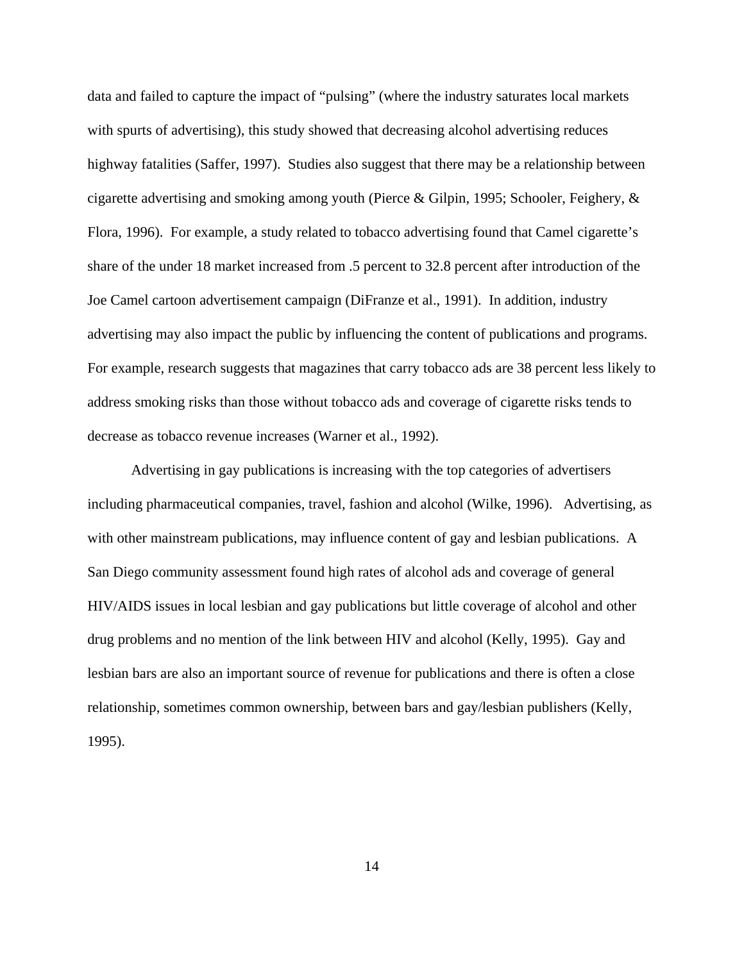data and failed to capture the impact of "pulsing" (where the industry saturates local markets with spurts of advertising), this study showed that decreasing alcohol advertising reduces highway fatalities (Saffer, 1997). Studies also suggest that there may be a relationship between cigarette advertising and smoking among youth (Pierce & Gilpin, 1995; Schooler, Feighery, & Flora, 1996). For example, a study related to tobacco advertising found that Camel cigarette's share of the under 18 market increased from .5 percent to 32.8 percent after introduction of the Joe Camel cartoon advertisement campaign (DiFranze et al., 1991). In addition, industry advertising may also impact the public by influencing the content of publications and programs. For example, research suggests that magazines that carry tobacco ads are 38 percent less likely to address smoking risks than those without tobacco ads and coverage of cigarette risks tends to decrease as tobacco revenue increases (Warner et al., 1992).

 Advertising in gay publications is increasing with the top categories of advertisers including pharmaceutical companies, travel, fashion and alcohol (Wilke, 1996). Advertising, as with other mainstream publications, may influence content of gay and lesbian publications. A San Diego community assessment found high rates of alcohol ads and coverage of general HIV/AIDS issues in local lesbian and gay publications but little coverage of alcohol and other drug problems and no mention of the link between HIV and alcohol (Kelly, 1995). Gay and lesbian bars are also an important source of revenue for publications and there is often a close relationship, sometimes common ownership, between bars and gay/lesbian publishers (Kelly, 1995).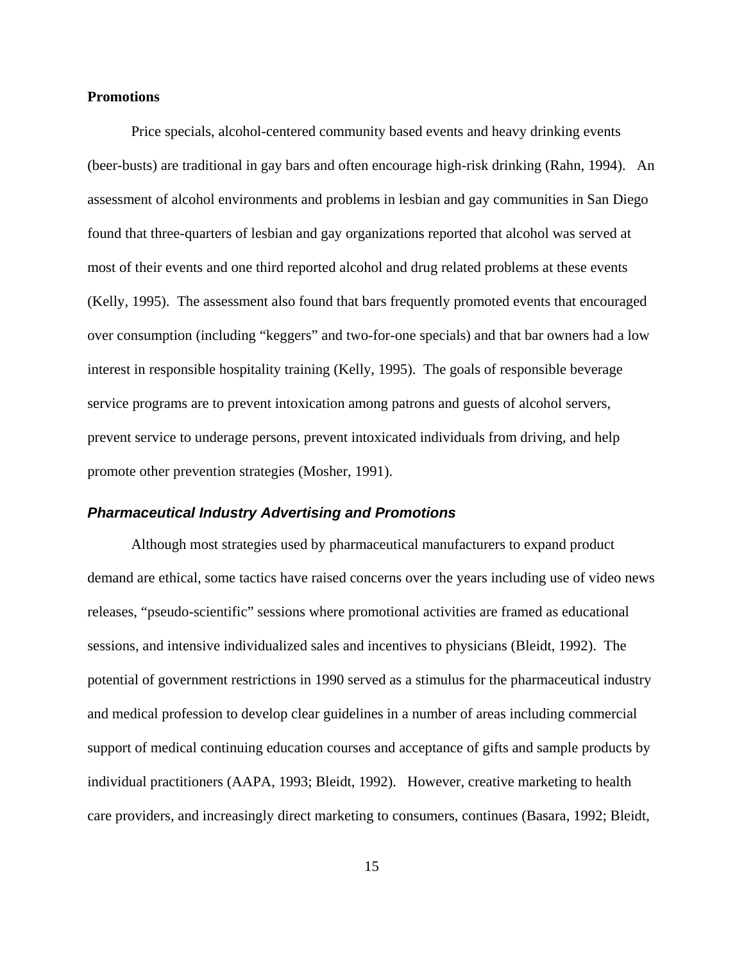### **Promotions**

 Price specials, alcohol-centered community based events and heavy drinking events (beer-busts) are traditional in gay bars and often encourage high-risk drinking (Rahn, 1994). An assessment of alcohol environments and problems in lesbian and gay communities in San Diego found that three-quarters of lesbian and gay organizations reported that alcohol was served at most of their events and one third reported alcohol and drug related problems at these events (Kelly, 1995). The assessment also found that bars frequently promoted events that encouraged over consumption (including "keggers" and two-for-one specials) and that bar owners had a low interest in responsible hospitality training (Kelly, 1995). The goals of responsible beverage service programs are to prevent intoxication among patrons and guests of alcohol servers, prevent service to underage persons, prevent intoxicated individuals from driving, and help promote other prevention strategies (Mosher, 1991).

## *Pharmaceutical Industry Advertising and Promotions*

Although most strategies used by pharmaceutical manufacturers to expand product demand are ethical, some tactics have raised concerns over the years including use of video news releases, "pseudo-scientific" sessions where promotional activities are framed as educational sessions, and intensive individualized sales and incentives to physicians (Bleidt, 1992). The potential of government restrictions in 1990 served as a stimulus for the pharmaceutical industry and medical profession to develop clear guidelines in a number of areas including commercial support of medical continuing education courses and acceptance of gifts and sample products by individual practitioners (AAPA, 1993; Bleidt, 1992). However, creative marketing to health care providers, and increasingly direct marketing to consumers, continues (Basara, 1992; Bleidt,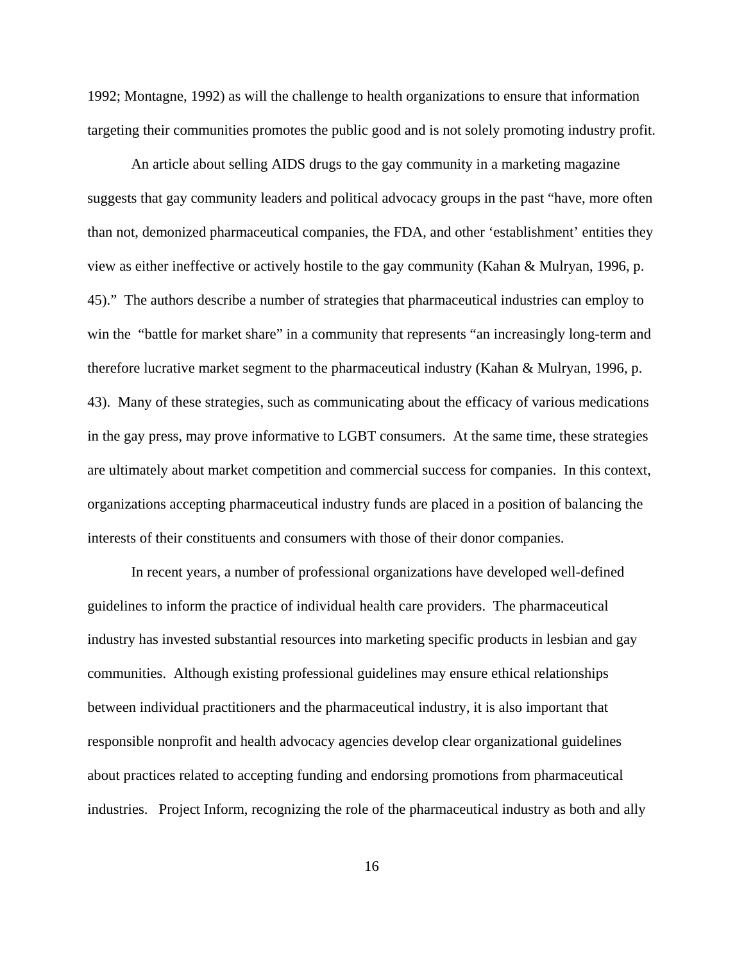1992; Montagne, 1992) as will the challenge to health organizations to ensure that information targeting their communities promotes the public good and is not solely promoting industry profit.

An article about selling AIDS drugs to the gay community in a marketing magazine suggests that gay community leaders and political advocacy groups in the past "have, more often than not, demonized pharmaceutical companies, the FDA, and other 'establishment' entities they view as either ineffective or actively hostile to the gay community (Kahan & Mulryan, 1996, p. 45)." The authors describe a number of strategies that pharmaceutical industries can employ to win the "battle for market share" in a community that represents "an increasingly long-term and therefore lucrative market segment to the pharmaceutical industry (Kahan & Mulryan, 1996, p. 43). Many of these strategies, such as communicating about the efficacy of various medications in the gay press, may prove informative to LGBT consumers. At the same time, these strategies are ultimately about market competition and commercial success for companies. In this context, organizations accepting pharmaceutical industry funds are placed in a position of balancing the interests of their constituents and consumers with those of their donor companies.

In recent years, a number of professional organizations have developed well-defined guidelines to inform the practice of individual health care providers. The pharmaceutical industry has invested substantial resources into marketing specific products in lesbian and gay communities. Although existing professional guidelines may ensure ethical relationships between individual practitioners and the pharmaceutical industry, it is also important that responsible nonprofit and health advocacy agencies develop clear organizational guidelines about practices related to accepting funding and endorsing promotions from pharmaceutical industries.Project Inform, recognizing the role of the pharmaceutical industry as both and ally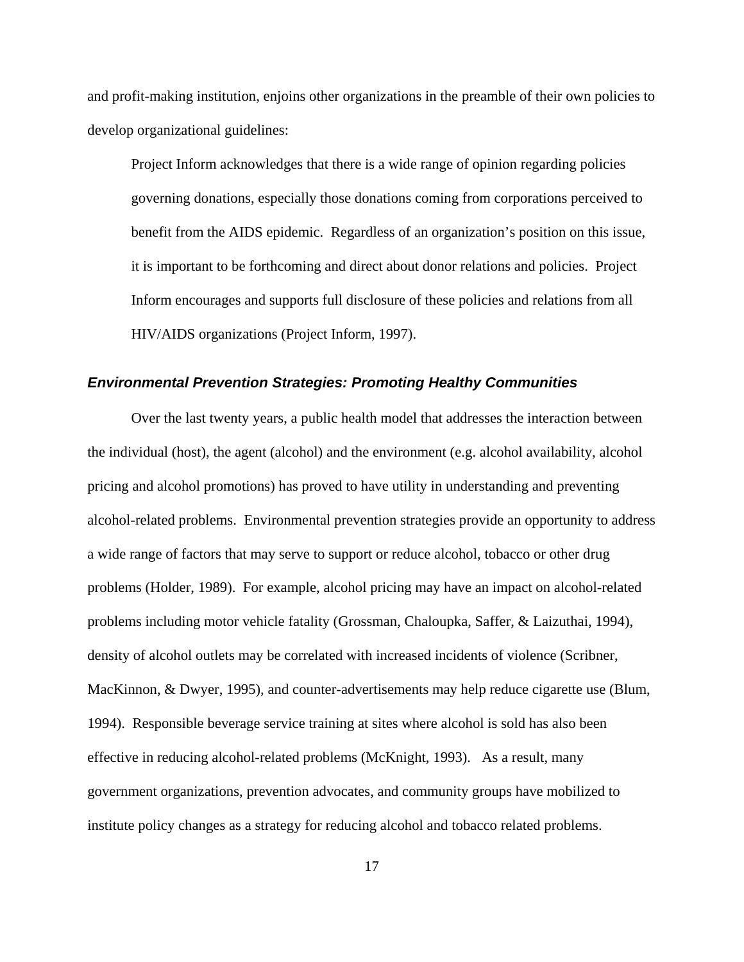and profit-making institution, enjoins other organizations in the preamble of their own policies to develop organizational guidelines:

Project Inform acknowledges that there is a wide range of opinion regarding policies governing donations, especially those donations coming from corporations perceived to benefit from the AIDS epidemic. Regardless of an organization's position on this issue, it is important to be forthcoming and direct about donor relations and policies. Project Inform encourages and supports full disclosure of these policies and relations from all HIV/AIDS organizations (Project Inform, 1997).

## *Environmental Prevention Strategies: Promoting Healthy Communities*

 Over the last twenty years, a public health model that addresses the interaction between the individual (host), the agent (alcohol) and the environment (e.g. alcohol availability, alcohol pricing and alcohol promotions) has proved to have utility in understanding and preventing alcohol-related problems. Environmental prevention strategies provide an opportunity to address a wide range of factors that may serve to support or reduce alcohol, tobacco or other drug problems (Holder, 1989). For example, alcohol pricing may have an impact on alcohol-related problems including motor vehicle fatality (Grossman, Chaloupka, Saffer, & Laizuthai, 1994), density of alcohol outlets may be correlated with increased incidents of violence (Scribner, MacKinnon, & Dwyer, 1995), and counter-advertisements may help reduce cigarette use (Blum, 1994). Responsible beverage service training at sites where alcohol is sold has also been effective in reducing alcohol-related problems (McKnight, 1993). As a result, many government organizations, prevention advocates, and community groups have mobilized to institute policy changes as a strategy for reducing alcohol and tobacco related problems.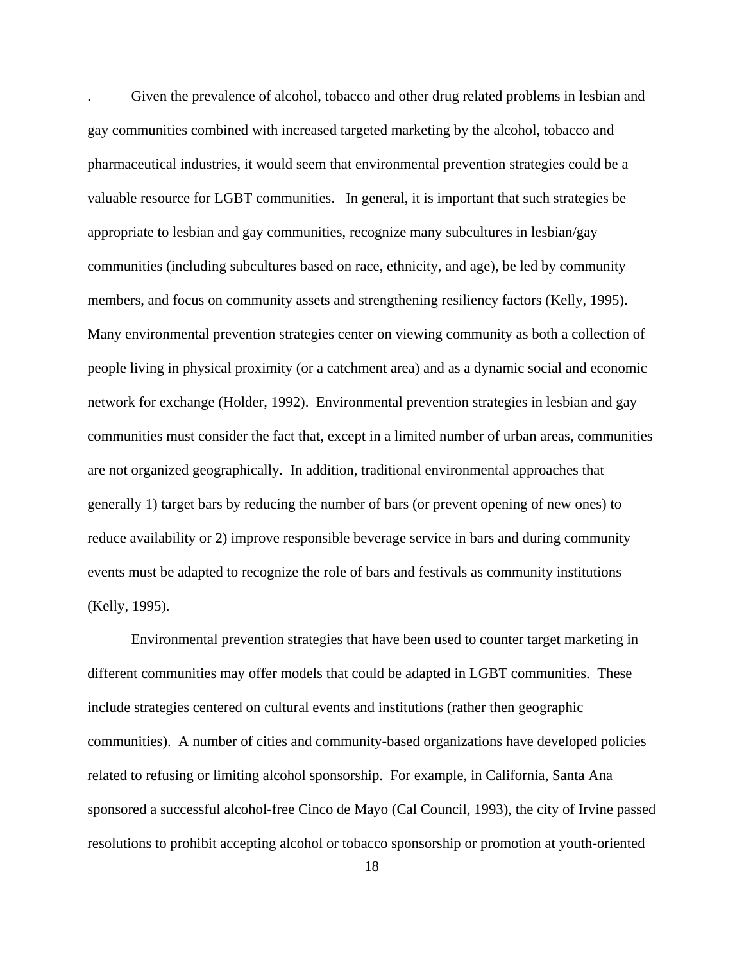. Given the prevalence of alcohol, tobacco and other drug related problems in lesbian and gay communities combined with increased targeted marketing by the alcohol, tobacco and pharmaceutical industries, it would seem that environmental prevention strategies could be a valuable resource for LGBT communities. In general, it is important that such strategies be appropriate to lesbian and gay communities, recognize many subcultures in lesbian/gay communities (including subcultures based on race, ethnicity, and age), be led by community members, and focus on community assets and strengthening resiliency factors (Kelly, 1995). Many environmental prevention strategies center on viewing community as both a collection of people living in physical proximity (or a catchment area) and as a dynamic social and economic network for exchange (Holder, 1992). Environmental prevention strategies in lesbian and gay communities must consider the fact that, except in a limited number of urban areas, communities are not organized geographically. In addition, traditional environmental approaches that generally 1) target bars by reducing the number of bars (or prevent opening of new ones) to reduce availability or 2) improve responsible beverage service in bars and during community events must be adapted to recognize the role of bars and festivals as community institutions (Kelly, 1995).

 Environmental prevention strategies that have been used to counter target marketing in different communities may offer models that could be adapted in LGBT communities. These include strategies centered on cultural events and institutions (rather then geographic communities). A number of cities and community-based organizations have developed policies related to refusing or limiting alcohol sponsorship. For example, in California, Santa Ana sponsored a successful alcohol-free Cinco de Mayo (Cal Council, 1993), the city of Irvine passed resolutions to prohibit accepting alcohol or tobacco sponsorship or promotion at youth-oriented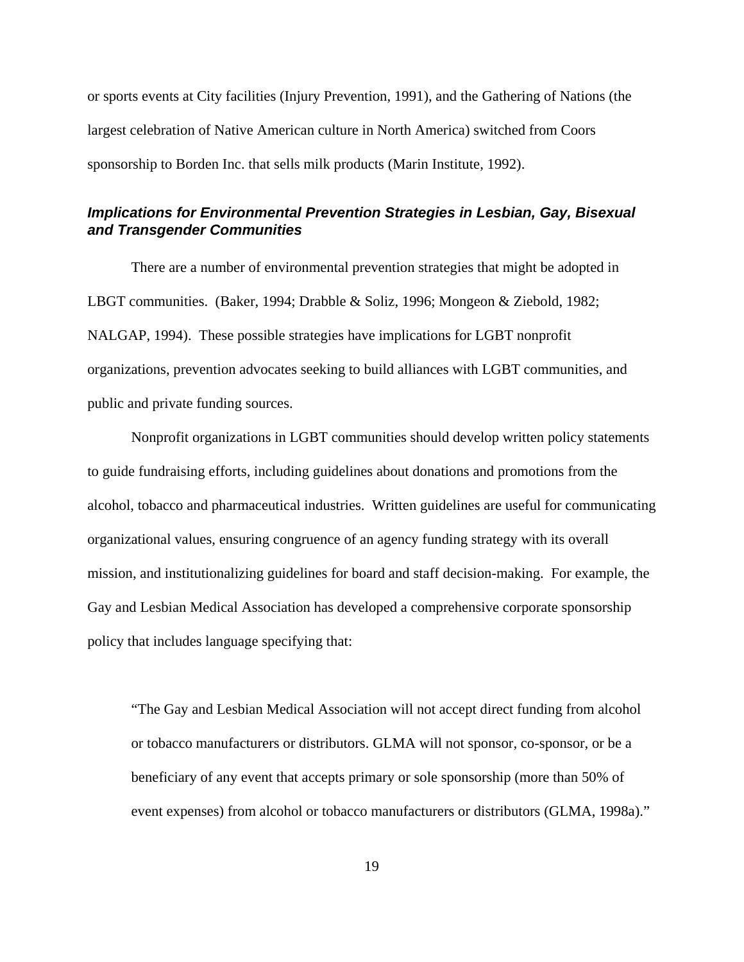or sports events at City facilities (Injury Prevention, 1991), and the Gathering of Nations (the largest celebration of Native American culture in North America) switched from Coors sponsorship to Borden Inc. that sells milk products (Marin Institute, 1992).

# *Implications for Environmental Prevention Strategies in Lesbian, Gay, Bisexual and Transgender Communities*

 There are a number of environmental prevention strategies that might be adopted in LBGT communities. (Baker, 1994; Drabble & Soliz, 1996; Mongeon & Ziebold, 1982; NALGAP, 1994). These possible strategies have implications for LGBT nonprofit organizations, prevention advocates seeking to build alliances with LGBT communities, and public and private funding sources.

Nonprofit organizations in LGBT communities should develop written policy statements to guide fundraising efforts, including guidelines about donations and promotions from the alcohol, tobacco and pharmaceutical industries. Written guidelines are useful for communicating organizational values, ensuring congruence of an agency funding strategy with its overall mission, and institutionalizing guidelines for board and staff decision-making. For example, the Gay and Lesbian Medical Association has developed a comprehensive corporate sponsorship policy that includes language specifying that:

"The Gay and Lesbian Medical Association will not accept direct funding from alcohol or tobacco manufacturers or distributors. GLMA will not sponsor, co-sponsor, or be a beneficiary of any event that accepts primary or sole sponsorship (more than 50% of event expenses) from alcohol or tobacco manufacturers or distributors (GLMA, 1998a)."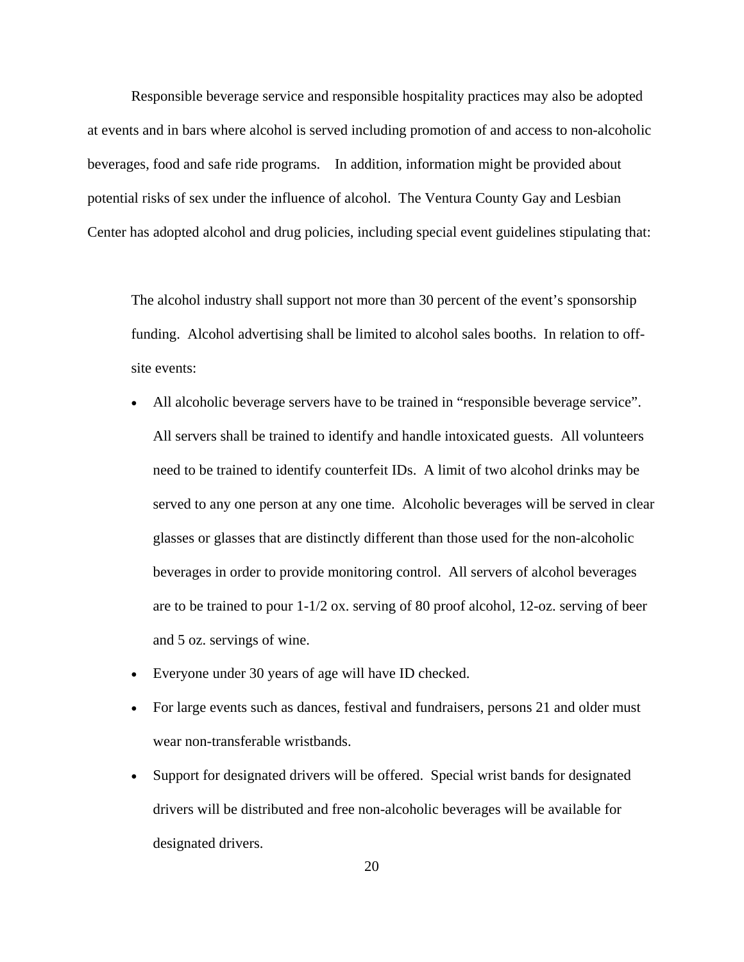Responsible beverage service and responsible hospitality practices may also be adopted at events and in bars where alcohol is served including promotion of and access to non-alcoholic beverages, food and safe ride programs. In addition, information might be provided about potential risks of sex under the influence of alcohol. The Ventura County Gay and Lesbian Center has adopted alcohol and drug policies, including special event guidelines stipulating that:

The alcohol industry shall support not more than 30 percent of the event's sponsorship funding. Alcohol advertising shall be limited to alcohol sales booths. In relation to offsite events:

- All alcoholic beverage servers have to be trained in "responsible beverage service". All servers shall be trained to identify and handle intoxicated guests. All volunteers need to be trained to identify counterfeit IDs. A limit of two alcohol drinks may be served to any one person at any one time. Alcoholic beverages will be served in clear glasses or glasses that are distinctly different than those used for the non-alcoholic beverages in order to provide monitoring control. All servers of alcohol beverages are to be trained to pour 1-1/2 ox. serving of 80 proof alcohol, 12-oz. serving of beer and 5 oz. servings of wine.
- Everyone under 30 years of age will have ID checked.
- For large events such as dances, festival and fundraisers, persons 21 and older must wear non-transferable wristbands.
- Support for designated drivers will be offered. Special wrist bands for designated drivers will be distributed and free non-alcoholic beverages will be available for designated drivers.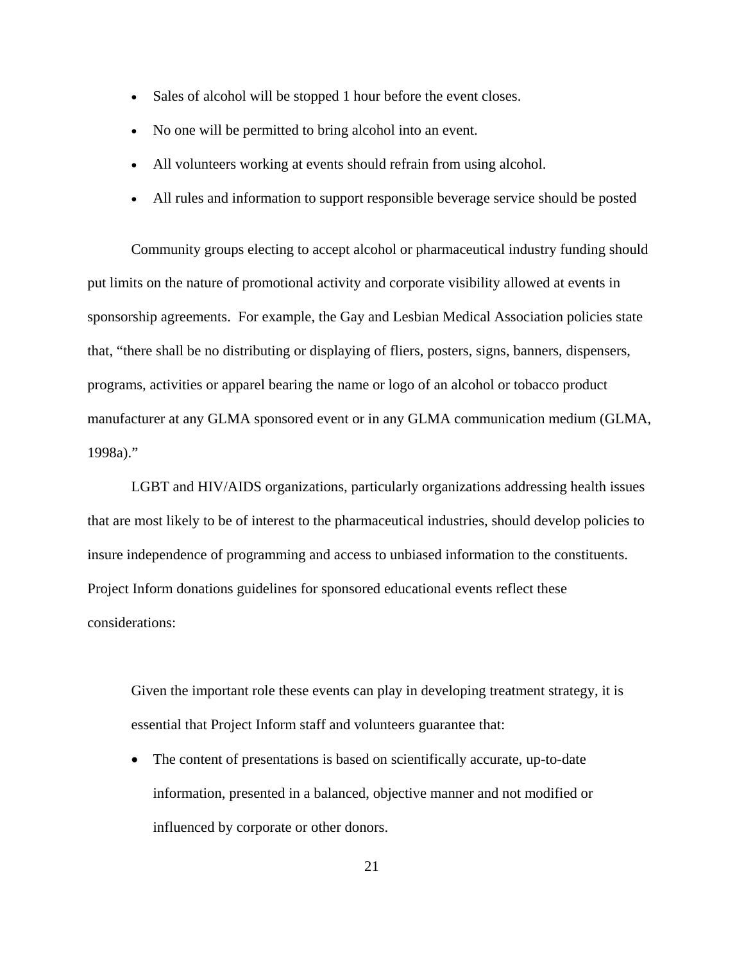- Sales of alcohol will be stopped 1 hour before the event closes.
- No one will be permitted to bring alcohol into an event.
- All volunteers working at events should refrain from using alcohol.
- All rules and information to support responsible beverage service should be posted

Community groups electing to accept alcohol or pharmaceutical industry funding should put limits on the nature of promotional activity and corporate visibility allowed at events in sponsorship agreements. For example, the Gay and Lesbian Medical Association policies state that, "there shall be no distributing or displaying of fliers, posters, signs, banners, dispensers, programs, activities or apparel bearing the name or logo of an alcohol or tobacco product manufacturer at any GLMA sponsored event or in any GLMA communication medium (GLMA, 1998a)."

 LGBT and HIV/AIDS organizations, particularly organizations addressing health issues that are most likely to be of interest to the pharmaceutical industries, should develop policies to insure independence of programming and access to unbiased information to the constituents. Project Inform donations guidelines for sponsored educational events reflect these considerations:

Given the important role these events can play in developing treatment strategy, it is essential that Project Inform staff and volunteers guarantee that:

• The content of presentations is based on scientifically accurate, up-to-date information, presented in a balanced, objective manner and not modified or influenced by corporate or other donors.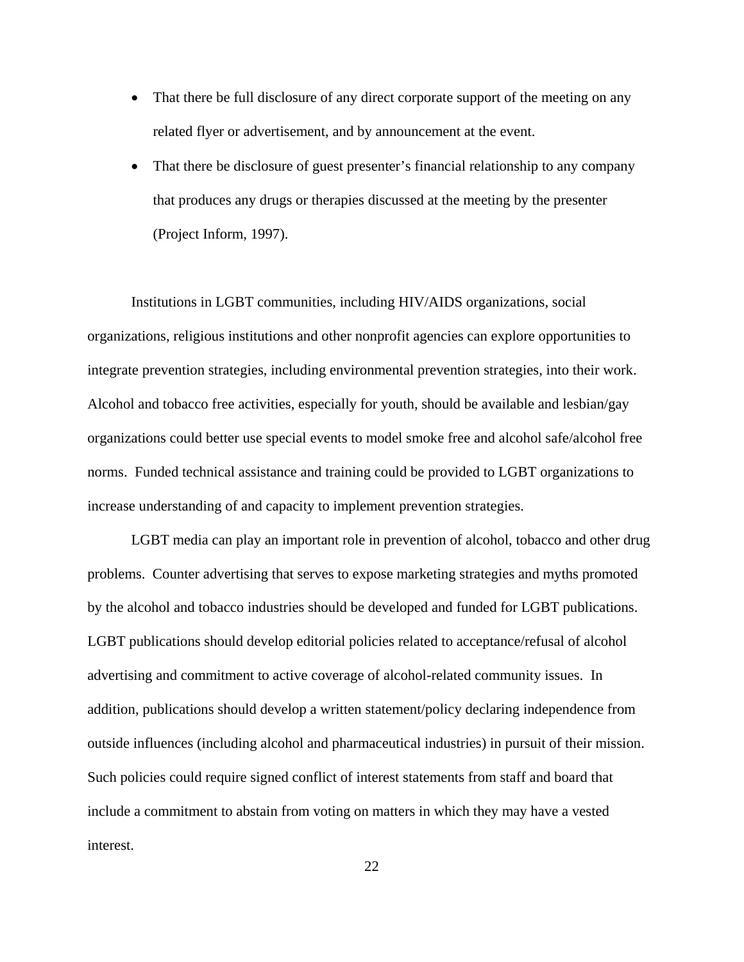- That there be full disclosure of any direct corporate support of the meeting on any related flyer or advertisement, and by announcement at the event.
- That there be disclosure of guest presenter's financial relationship to any company that produces any drugs or therapies discussed at the meeting by the presenter (Project Inform, 1997).

Institutions in LGBT communities, including HIV/AIDS organizations, social organizations, religious institutions and other nonprofit agencies can explore opportunities to integrate prevention strategies, including environmental prevention strategies, into their work. Alcohol and tobacco free activities, especially for youth, should be available and lesbian/gay organizations could better use special events to model smoke free and alcohol safe/alcohol free norms. Funded technical assistance and training could be provided to LGBT organizations to increase understanding of and capacity to implement prevention strategies.

LGBT media can play an important role in prevention of alcohol, tobacco and other drug problems. Counter advertising that serves to expose marketing strategies and myths promoted by the alcohol and tobacco industries should be developed and funded for LGBT publications. LGBT publications should develop editorial policies related to acceptance/refusal of alcohol advertising and commitment to active coverage of alcohol-related community issues. In addition, publications should develop a written statement/policy declaring independence from outside influences (including alcohol and pharmaceutical industries) in pursuit of their mission. Such policies could require signed conflict of interest statements from staff and board that include a commitment to abstain from voting on matters in which they may have a vested interest.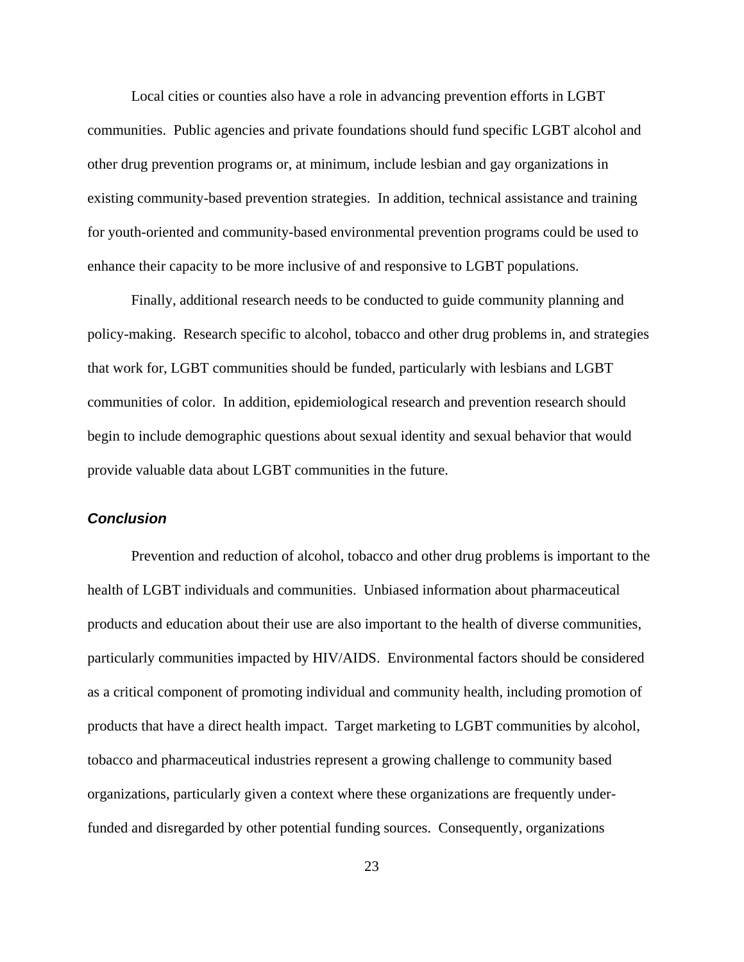Local cities or counties also have a role in advancing prevention efforts in LGBT communities. Public agencies and private foundations should fund specific LGBT alcohol and other drug prevention programs or, at minimum, include lesbian and gay organizations in existing community-based prevention strategies. In addition, technical assistance and training for youth-oriented and community-based environmental prevention programs could be used to enhance their capacity to be more inclusive of and responsive to LGBT populations.

Finally, additional research needs to be conducted to guide community planning and policy-making. Research specific to alcohol, tobacco and other drug problems in, and strategies that work for, LGBT communities should be funded, particularly with lesbians and LGBT communities of color. In addition, epidemiological research and prevention research should begin to include demographic questions about sexual identity and sexual behavior that would provide valuable data about LGBT communities in the future.

## *Conclusion*

Prevention and reduction of alcohol, tobacco and other drug problems is important to the health of LGBT individuals and communities. Unbiased information about pharmaceutical products and education about their use are also important to the health of diverse communities, particularly communities impacted by HIV/AIDS. Environmental factors should be considered as a critical component of promoting individual and community health, including promotion of products that have a direct health impact. Target marketing to LGBT communities by alcohol, tobacco and pharmaceutical industries represent a growing challenge to community based organizations, particularly given a context where these organizations are frequently underfunded and disregarded by other potential funding sources. Consequently, organizations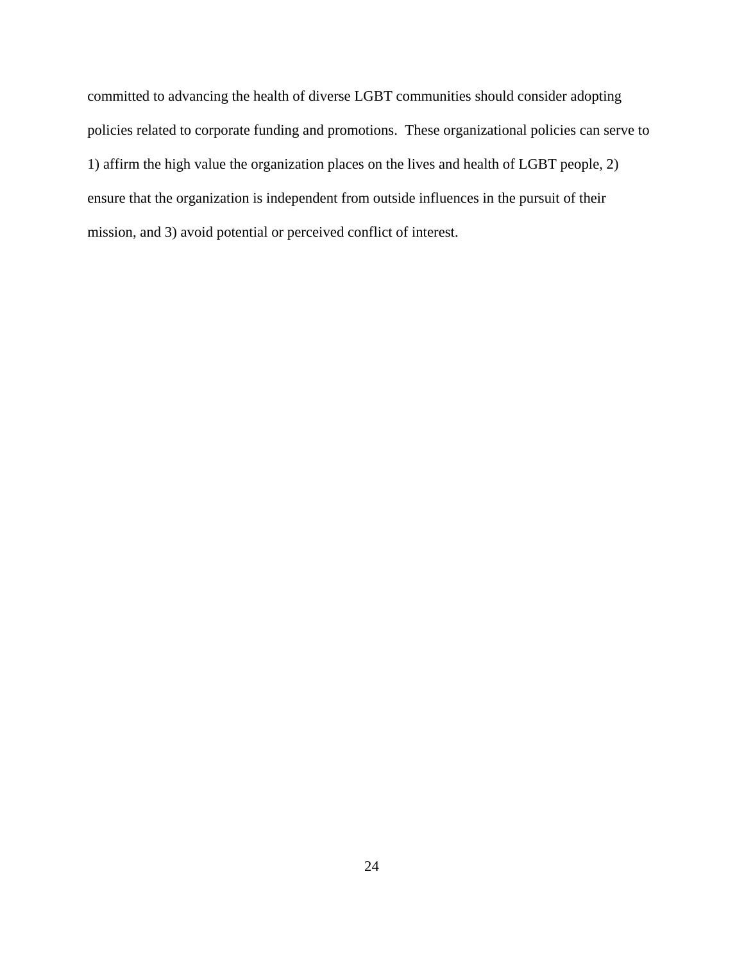committed to advancing the health of diverse LGBT communities should consider adopting policies related to corporate funding and promotions. These organizational policies can serve to 1) affirm the high value the organization places on the lives and health of LGBT people, 2) ensure that the organization is independent from outside influences in the pursuit of their mission, and 3) avoid potential or perceived conflict of interest.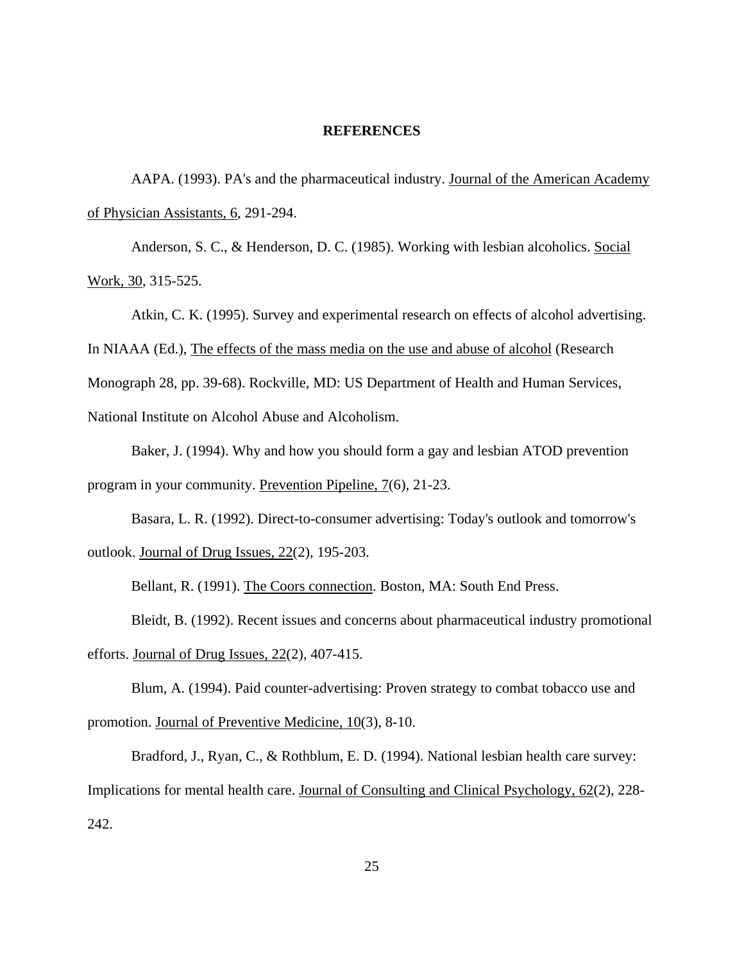#### **REFERENCES**

 AAPA. (1993). PA's and the pharmaceutical industry. Journal of the American Academy of Physician Assistants, 6, 291-294.

 Anderson, S. C., & Henderson, D. C. (1985). Working with lesbian alcoholics. Social Work, 30, 315-525.

 Atkin, C. K. (1995). Survey and experimental research on effects of alcohol advertising. In NIAAA (Ed.), The effects of the mass media on the use and abuse of alcohol (Research Monograph 28, pp. 39-68). Rockville, MD: US Department of Health and Human Services, National Institute on Alcohol Abuse and Alcoholism.

 Baker, J. (1994). Why and how you should form a gay and lesbian ATOD prevention program in your community. Prevention Pipeline, 7(6), 21-23.

 Basara, L. R. (1992). Direct-to-consumer advertising: Today's outlook and tomorrow's outlook. Journal of Drug Issues, 22(2), 195-203.

Bellant, R. (1991). The Coors connection. Boston, MA: South End Press.

 Bleidt, B. (1992). Recent issues and concerns about pharmaceutical industry promotional efforts. Journal of Drug Issues, 22(2), 407-415.

 Blum, A. (1994). Paid counter-advertising: Proven strategy to combat tobacco use and promotion. Journal of Preventive Medicine, 10(3), 8-10.

 Bradford, J., Ryan, C., & Rothblum, E. D. (1994). National lesbian health care survey: Implications for mental health care. Journal of Consulting and Clinical Psychology, 62(2), 228- 242.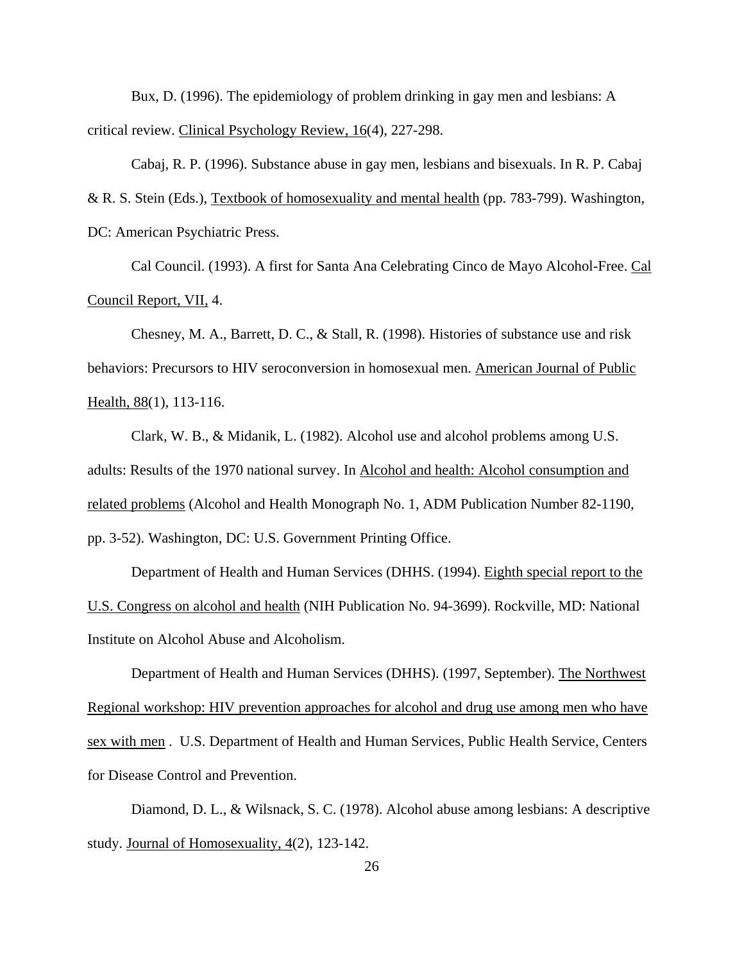Bux, D. (1996). The epidemiology of problem drinking in gay men and lesbians: A critical review. Clinical Psychology Review, 16(4), 227-298.

 Cabaj, R. P. (1996). Substance abuse in gay men, lesbians and bisexuals. In R. P. Cabaj & R. S. Stein (Eds.), Textbook of homosexuality and mental health (pp. 783-799). Washington, DC: American Psychiatric Press.

 Cal Council. (1993). A first for Santa Ana Celebrating Cinco de Mayo Alcohol-Free. Cal Council Report, VII, 4.

 Chesney, M. A., Barrett, D. C., & Stall, R. (1998). Histories of substance use and risk behaviors: Precursors to HIV seroconversion in homosexual men. American Journal of Public Health, 88(1), 113-116.

 Clark, W. B., & Midanik, L. (1982). Alcohol use and alcohol problems among U.S. adults: Results of the 1970 national survey. In Alcohol and health: Alcohol consumption and related problems (Alcohol and Health Monograph No. 1, ADM Publication Number 82-1190, pp. 3-52). Washington, DC: U.S. Government Printing Office.

 Department of Health and Human Services (DHHS. (1994). Eighth special report to the U.S. Congress on alcohol and health (NIH Publication No. 94-3699). Rockville, MD: National Institute on Alcohol Abuse and Alcoholism.

 Department of Health and Human Services (DHHS). (1997, September). The Northwest Regional workshop: HIV prevention approaches for alcohol and drug use among men who have sex with men . U.S. Department of Health and Human Services, Public Health Service, Centers for Disease Control and Prevention.

 Diamond, D. L., & Wilsnack, S. C. (1978). Alcohol abuse among lesbians: A descriptive study. Journal of Homosexuality, 4(2), 123-142.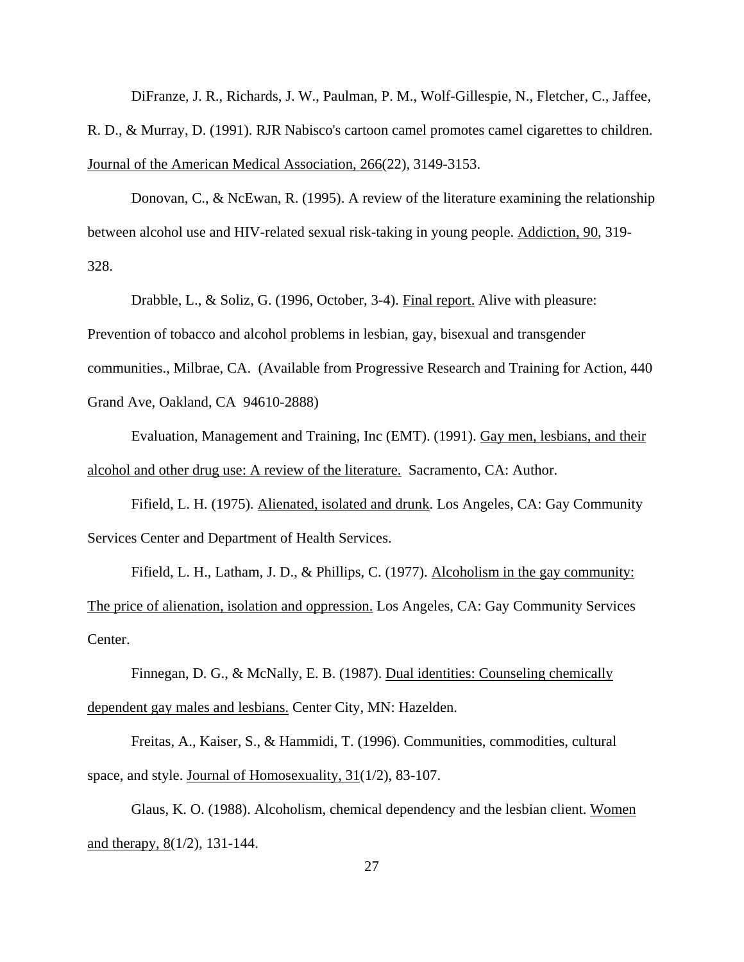DiFranze, J. R., Richards, J. W., Paulman, P. M., Wolf-Gillespie, N., Fletcher, C., Jaffee, R. D., & Murray, D. (1991). RJR Nabisco's cartoon camel promotes camel cigarettes to children. Journal of the American Medical Association, 266(22), 3149-3153.

 Donovan, C., & NcEwan, R. (1995). A review of the literature examining the relationship between alcohol use and HIV-related sexual risk-taking in young people. Addiction, 90, 319- 328.

 Drabble, L., & Soliz, G. (1996, October, 3-4). Final report. Alive with pleasure: Prevention of tobacco and alcohol problems in lesbian, gay, bisexual and transgender communities., Milbrae, CA. (Available from Progressive Research and Training for Action, 440 Grand Ave, Oakland, CA 94610-2888)

 Evaluation, Management and Training, Inc (EMT). (1991). Gay men, lesbians, and their alcohol and other drug use: A review of the literature. Sacramento, CA: Author.

 Fifield, L. H. (1975). Alienated, isolated and drunk. Los Angeles, CA: Gay Community Services Center and Department of Health Services.

Fifield, L. H., Latham, J. D., & Phillips, C. (1977). Alcoholism in the gay community: The price of alienation, isolation and oppression. Los Angeles, CA: Gay Community Services Center.

Finnegan, D. G., & McNally, E. B. (1987). Dual identities: Counseling chemically dependent gay males and lesbians. Center City, MN: Hazelden.

 Freitas, A., Kaiser, S., & Hammidi, T. (1996). Communities, commodities, cultural space, and style. Journal of Homosexuality, 31(1/2), 83-107.

 Glaus, K. O. (1988). Alcoholism, chemical dependency and the lesbian client. Women and therapy, 8(1/2), 131-144.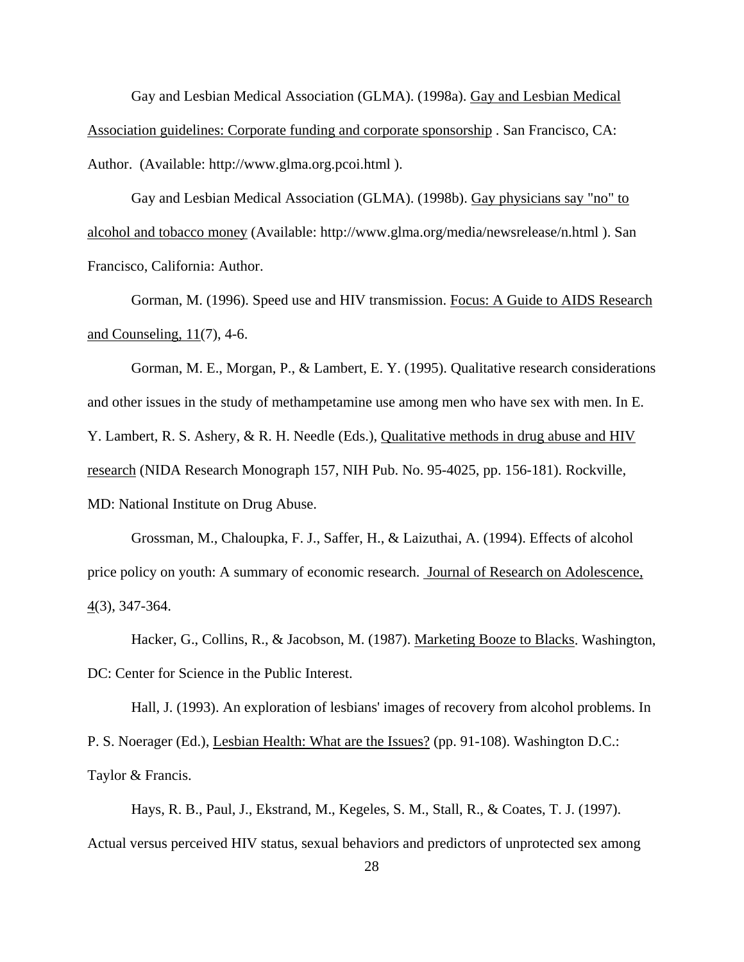Gay and Lesbian Medical Association (GLMA). (1998a). Gay and Lesbian Medical Association guidelines: Corporate funding and corporate sponsorship . San Francisco, CA: Author. (Available: http://www.glma.org.pcoi.html ).

 Gay and Lesbian Medical Association (GLMA). (1998b). Gay physicians say "no" to alcohol and tobacco money (Available: http://www.glma.org/media/newsrelease/n.html ). San Francisco, California: Author.

 Gorman, M. (1996). Speed use and HIV transmission. Focus: A Guide to AIDS Research and Counseling,  $11(7)$ , 4-6.

 Gorman, M. E., Morgan, P., & Lambert, E. Y. (1995). Qualitative research considerations and other issues in the study of methampetamine use among men who have sex with men. In E. Y. Lambert, R. S. Ashery, & R. H. Needle (Eds.), Qualitative methods in drug abuse and HIV research (NIDA Research Monograph 157, NIH Pub. No. 95-4025, pp. 156-181). Rockville, MD: National Institute on Drug Abuse.

 Grossman, M., Chaloupka, F. J., Saffer, H., & Laizuthai, A. (1994). Effects of alcohol price policy on youth: A summary of economic research. Journal of Research on Adolescence, 4(3), 347-364.

Hacker, G., Collins, R., & Jacobson, M. (1987). Marketing Booze to Blacks. Washington, DC: Center for Science in the Public Interest.

 Hall, J. (1993). An exploration of lesbians' images of recovery from alcohol problems. In P. S. Noerager (Ed.), Lesbian Health: What are the Issues? (pp. 91-108). Washington D.C.: Taylor & Francis.

 Hays, R. B., Paul, J., Ekstrand, M., Kegeles, S. M., Stall, R., & Coates, T. J. (1997). Actual versus perceived HIV status, sexual behaviors and predictors of unprotected sex among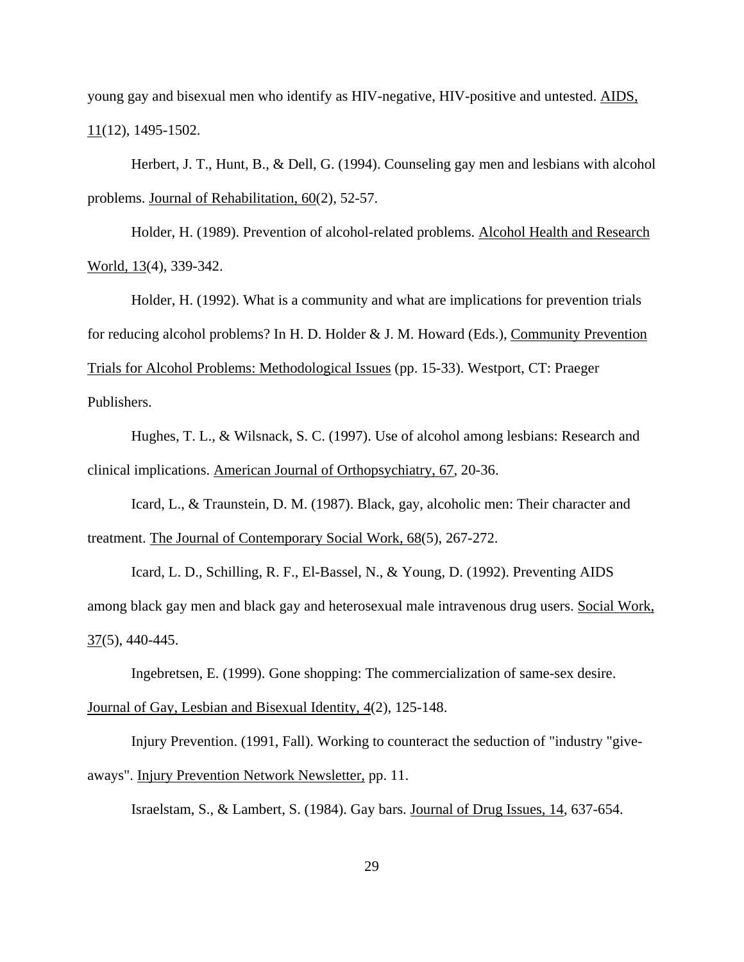young gay and bisexual men who identify as HIV-negative, HIV-positive and untested. AIDS, 11(12), 1495-1502.

 Herbert, J. T., Hunt, B., & Dell, G. (1994). Counseling gay men and lesbians with alcohol problems. Journal of Rehabilitation, 60(2), 52-57.

 Holder, H. (1989). Prevention of alcohol-related problems. Alcohol Health and Research World, 13(4), 339-342.

 Holder, H. (1992). What is a community and what are implications for prevention trials for reducing alcohol problems? In H. D. Holder & J. M. Howard (Eds.), Community Prevention Trials for Alcohol Problems: Methodological Issues (pp. 15-33). Westport, CT: Praeger Publishers.

 Hughes, T. L., & Wilsnack, S. C. (1997). Use of alcohol among lesbians: Research and clinical implications. American Journal of Orthopsychiatry, 67, 20-36.

 Icard, L., & Traunstein, D. M. (1987). Black, gay, alcoholic men: Their character and treatment. The Journal of Contemporary Social Work, 68(5), 267-272.

 Icard, L. D., Schilling, R. F., El-Bassel, N., & Young, D. (1992). Preventing AIDS among black gay men and black gay and heterosexual male intravenous drug users. Social Work, 37(5), 440-445.

Ingebretsen, E. (1999). Gone shopping: The commercialization of same-sex desire.

## Journal of Gay, Lesbian and Bisexual Identity, 4(2), 125-148.

 Injury Prevention. (1991, Fall). Working to counteract the seduction of "industry "giveaways". Injury Prevention Network Newsletter, pp. 11.

Israelstam, S., & Lambert, S. (1984). Gay bars. Journal of Drug Issues, 14, 637-654.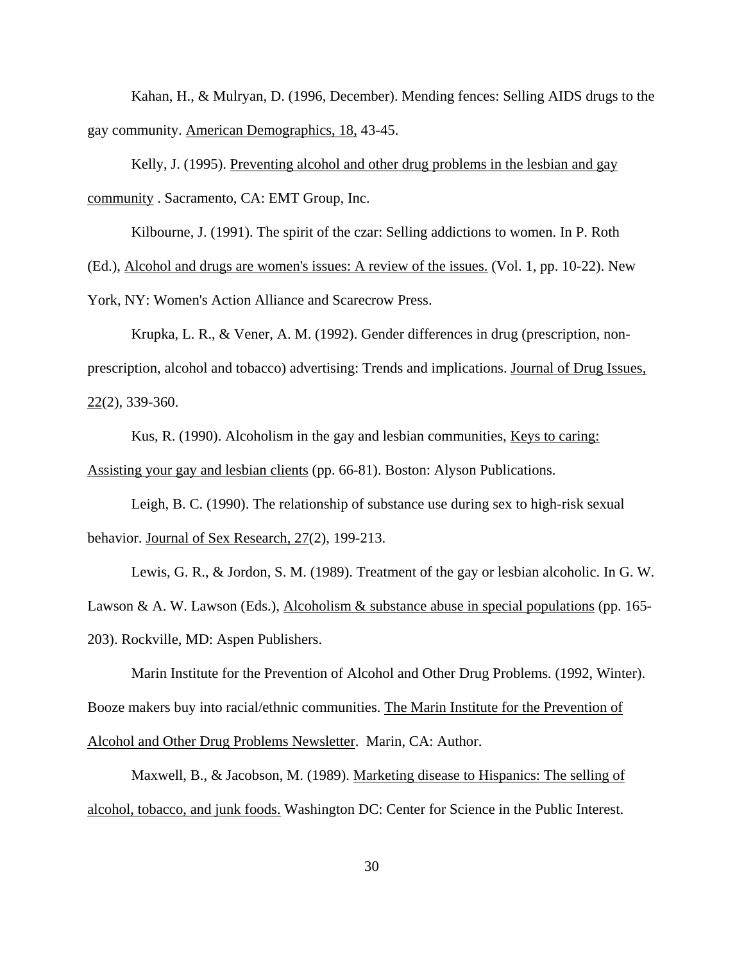Kahan, H., & Mulryan, D. (1996, December). Mending fences: Selling AIDS drugs to the gay community. American Demographics, 18, 43-45.

 Kelly, J. (1995). Preventing alcohol and other drug problems in the lesbian and gay community . Sacramento, CA: EMT Group, Inc.

Kilbourne, J. (1991). The spirit of the czar: Selling addictions to women. In P. Roth

(Ed.), Alcohol and drugs are women's issues: A review of the issues. (Vol. 1, pp. 10-22). New

York, NY: Women's Action Alliance and Scarecrow Press.

 Krupka, L. R., & Vener, A. M. (1992). Gender differences in drug (prescription, nonprescription, alcohol and tobacco) advertising: Trends and implications. Journal of Drug Issues, 22(2), 339-360.

 Kus, R. (1990). Alcoholism in the gay and lesbian communities, Keys to caring: Assisting your gay and lesbian clients (pp. 66-81). Boston: Alyson Publications.

 Leigh, B. C. (1990). The relationship of substance use during sex to high-risk sexual behavior. Journal of Sex Research, 27(2), 199-213.

 Lewis, G. R., & Jordon, S. M. (1989). Treatment of the gay or lesbian alcoholic. In G. W. Lawson & A. W. Lawson (Eds.), Alcoholism & substance abuse in special populations (pp. 165-203). Rockville, MD: Aspen Publishers.

 Marin Institute for the Prevention of Alcohol and Other Drug Problems. (1992, Winter). Booze makers buy into racial/ethnic communities. The Marin Institute for the Prevention of Alcohol and Other Drug Problems Newsletter. Marin, CA: Author.

 Maxwell, B., & Jacobson, M. (1989). Marketing disease to Hispanics: The selling of alcohol, tobacco, and junk foods. Washington DC: Center for Science in the Public Interest.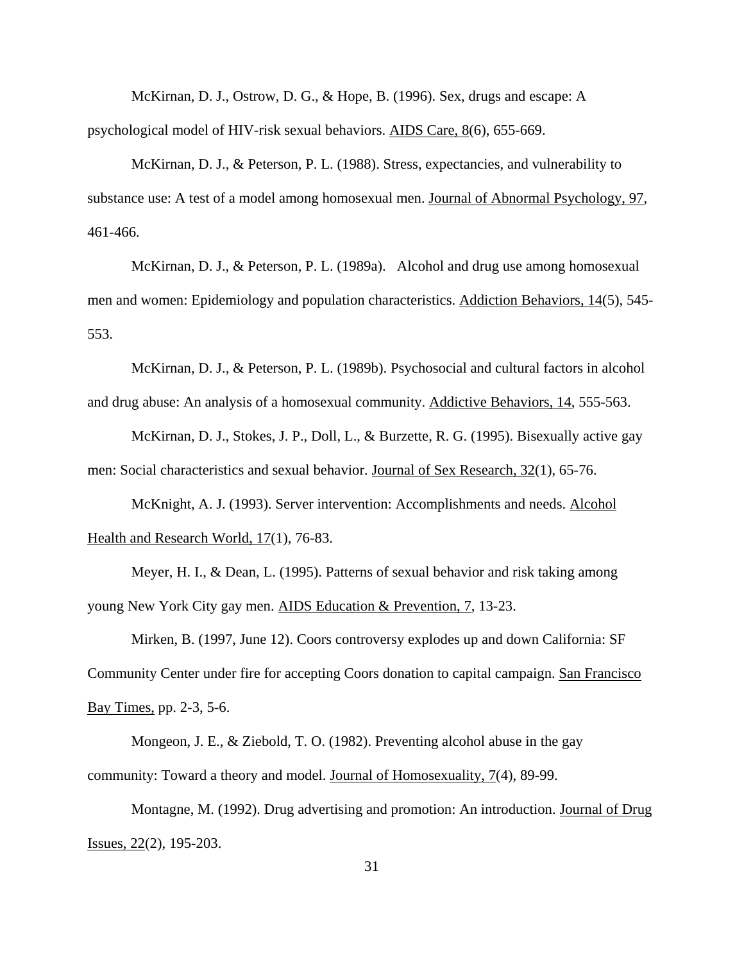McKirnan, D. J., Ostrow, D. G., & Hope, B. (1996). Sex, drugs and escape: A psychological model of HIV-risk sexual behaviors. AIDS Care, 8(6), 655-669.

 McKirnan, D. J., & Peterson, P. L. (1988). Stress, expectancies, and vulnerability to substance use: A test of a model among homosexual men. Journal of Abnormal Psychology, 97, 461-466.

 McKirnan, D. J., & Peterson, P. L. (1989a). Alcohol and drug use among homosexual men and women: Epidemiology and population characteristics. Addiction Behaviors, 14(5), 545- 553.

 McKirnan, D. J., & Peterson, P. L. (1989b). Psychosocial and cultural factors in alcohol and drug abuse: An analysis of a homosexual community. Addictive Behaviors, 14, 555-563.

 McKirnan, D. J., Stokes, J. P., Doll, L., & Burzette, R. G. (1995). Bisexually active gay men: Social characteristics and sexual behavior. Journal of Sex Research, 32(1), 65-76.

 McKnight, A. J. (1993). Server intervention: Accomplishments and needs. Alcohol Health and Research World, 17(1), 76-83.

 Meyer, H. I., & Dean, L. (1995). Patterns of sexual behavior and risk taking among young New York City gay men. AIDS Education & Prevention, 7, 13-23.

 Mirken, B. (1997, June 12). Coors controversy explodes up and down California: SF Community Center under fire for accepting Coors donation to capital campaign. San Francisco Bay Times, pp. 2-3, 5-6.

 Mongeon, J. E., & Ziebold, T. O. (1982). Preventing alcohol abuse in the gay community: Toward a theory and model. Journal of Homosexuality, 7(4), 89-99.

 Montagne, M. (1992). Drug advertising and promotion: An introduction. Journal of Drug Issues, 22(2), 195-203.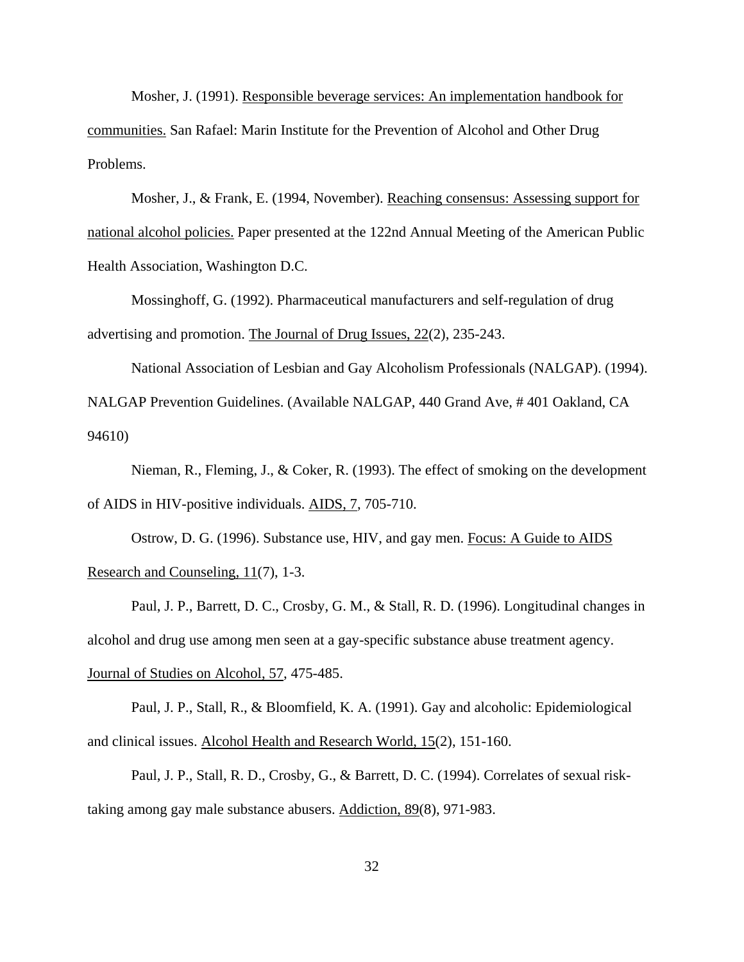Mosher, J. (1991). Responsible beverage services: An implementation handbook for communities. San Rafael: Marin Institute for the Prevention of Alcohol and Other Drug Problems.

 Mosher, J., & Frank, E. (1994, November). Reaching consensus: Assessing support for national alcohol policies. Paper presented at the 122nd Annual Meeting of the American Public Health Association, Washington D.C.

 Mossinghoff, G. (1992). Pharmaceutical manufacturers and self-regulation of drug advertising and promotion. The Journal of Drug Issues, 22(2), 235-243.

 National Association of Lesbian and Gay Alcoholism Professionals (NALGAP). (1994). NALGAP Prevention Guidelines. (Available NALGAP, 440 Grand Ave, # 401 Oakland, CA 94610)

 Nieman, R., Fleming, J., & Coker, R. (1993). The effect of smoking on the development of AIDS in HIV-positive individuals. AIDS, 7, 705-710.

 Ostrow, D. G. (1996). Substance use, HIV, and gay men. Focus: A Guide to AIDS Research and Counseling, 11(7), 1-3.

 Paul, J. P., Barrett, D. C., Crosby, G. M., & Stall, R. D. (1996). Longitudinal changes in alcohol and drug use among men seen at a gay-specific substance abuse treatment agency. Journal of Studies on Alcohol, 57, 475-485.

 Paul, J. P., Stall, R., & Bloomfield, K. A. (1991). Gay and alcoholic: Epidemiological and clinical issues. Alcohol Health and Research World, 15(2), 151-160.

 Paul, J. P., Stall, R. D., Crosby, G., & Barrett, D. C. (1994). Correlates of sexual risktaking among gay male substance abusers. Addiction, 89(8), 971-983.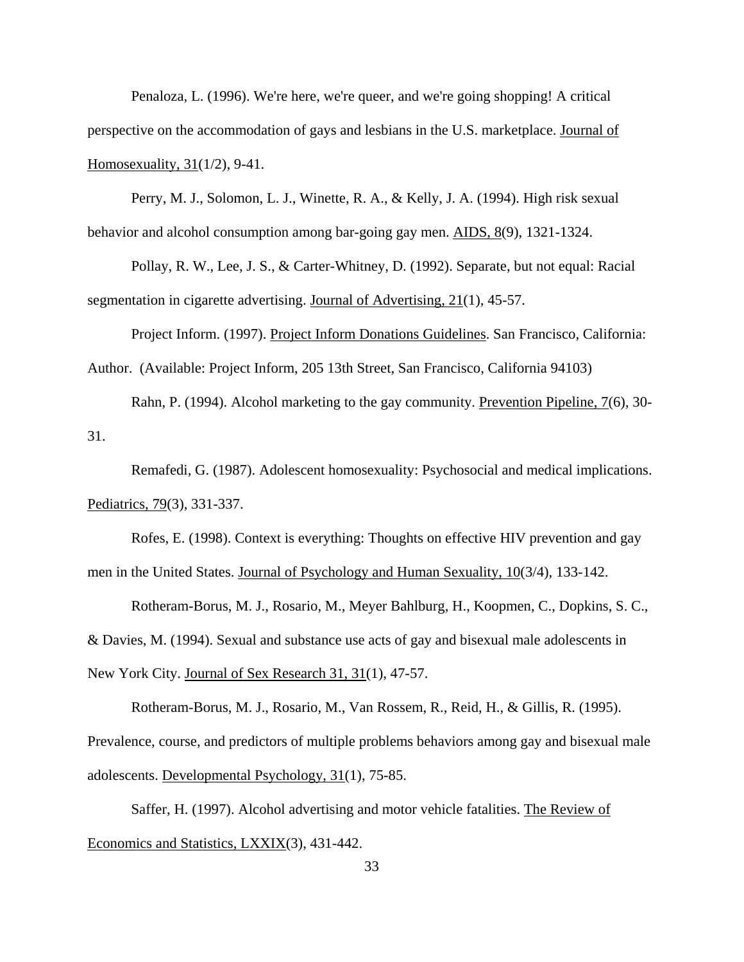Penaloza, L. (1996). We're here, we're queer, and we're going shopping! A critical perspective on the accommodation of gays and lesbians in the U.S. marketplace. Journal of Homosexuality, 31(1/2), 9-41.

 Perry, M. J., Solomon, L. J., Winette, R. A., & Kelly, J. A. (1994). High risk sexual behavior and alcohol consumption among bar-going gay men. AIDS, 8(9), 1321-1324.

 Pollay, R. W., Lee, J. S., & Carter-Whitney, D. (1992). Separate, but not equal: Racial segmentation in cigarette advertising. Journal of Advertising, 21(1), 45-57.

Project Inform. (1997). Project Inform Donations Guidelines. San Francisco, California: Author. (Available: Project Inform, 205 13th Street, San Francisco, California 94103)

Rahn, P. (1994). Alcohol marketing to the gay community. Prevention Pipeline, 7(6), 30-

31.

 Remafedi, G. (1987). Adolescent homosexuality: Psychosocial and medical implications. Pediatrics, 79(3), 331-337.

 Rofes, E. (1998). Context is everything: Thoughts on effective HIV prevention and gay men in the United States. Journal of Psychology and Human Sexuality, 10(3/4), 133-142.

 Rotheram-Borus, M. J., Rosario, M., Meyer Bahlburg, H., Koopmen, C., Dopkins, S. C., & Davies, M. (1994). Sexual and substance use acts of gay and bisexual male adolescents in New York City. Journal of Sex Research 31, 31(1), 47-57.

 Rotheram-Borus, M. J., Rosario, M., Van Rossem, R., Reid, H., & Gillis, R. (1995). Prevalence, course, and predictors of multiple problems behaviors among gay and bisexual male adolescents. Developmental Psychology, 31(1), 75-85.

 Saffer, H. (1997). Alcohol advertising and motor vehicle fatalities. The Review of Economics and Statistics, LXXIX(3), 431-442.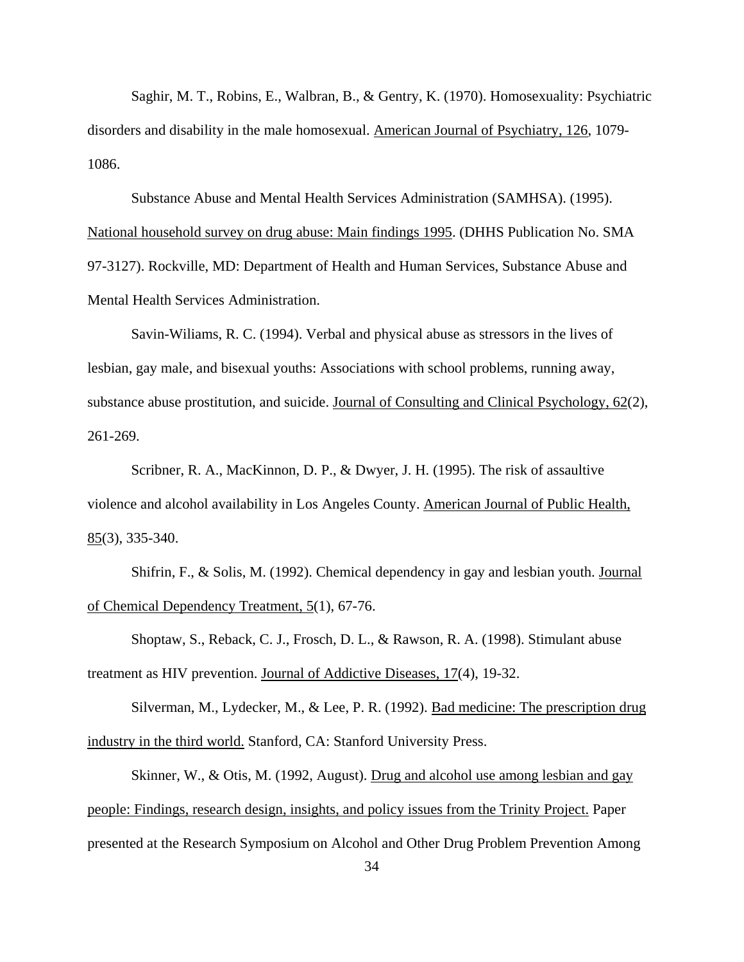Saghir, M. T., Robins, E., Walbran, B., & Gentry, K. (1970). Homosexuality: Psychiatric disorders and disability in the male homosexual. American Journal of Psychiatry, 126, 1079- 1086.

 Substance Abuse and Mental Health Services Administration (SAMHSA). (1995). National household survey on drug abuse: Main findings 1995. (DHHS Publication No. SMA 97-3127). Rockville, MD: Department of Health and Human Services, Substance Abuse and Mental Health Services Administration.

 Savin-Wiliams, R. C. (1994). Verbal and physical abuse as stressors in the lives of lesbian, gay male, and bisexual youths: Associations with school problems, running away, substance abuse prostitution, and suicide. Journal of Consulting and Clinical Psychology, 62(2), 261-269.

 Scribner, R. A., MacKinnon, D. P., & Dwyer, J. H. (1995). The risk of assaultive violence and alcohol availability in Los Angeles County. American Journal of Public Health, 85(3), 335-340.

Shifrin, F., & Solis, M. (1992). Chemical dependency in gay and lesbian youth. Journal of Chemical Dependency Treatment, 5(1), 67-76.

 Shoptaw, S., Reback, C. J., Frosch, D. L., & Rawson, R. A. (1998). Stimulant abuse treatment as HIV prevention. Journal of Addictive Diseases, 17(4), 19-32.

 Silverman, M., Lydecker, M., & Lee, P. R. (1992). Bad medicine: The prescription drug industry in the third world. Stanford, CA: Stanford University Press.

 Skinner, W., & Otis, M. (1992, August). Drug and alcohol use among lesbian and gay people: Findings, research design, insights, and policy issues from the Trinity Project. Paper presented at the Research Symposium on Alcohol and Other Drug Problem Prevention Among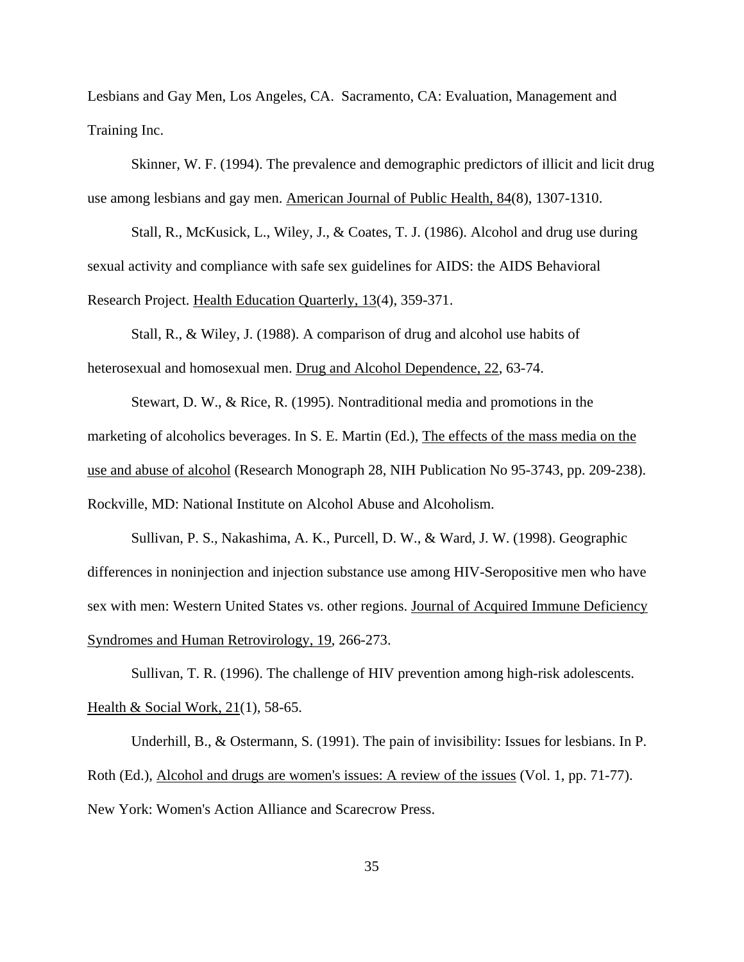Lesbians and Gay Men, Los Angeles, CA. Sacramento, CA: Evaluation, Management and Training Inc.

 Skinner, W. F. (1994). The prevalence and demographic predictors of illicit and licit drug use among lesbians and gay men. American Journal of Public Health, 84(8), 1307-1310.

 Stall, R., McKusick, L., Wiley, J., & Coates, T. J. (1986). Alcohol and drug use during sexual activity and compliance with safe sex guidelines for AIDS: the AIDS Behavioral Research Project. Health Education Quarterly, 13(4), 359-371.

 Stall, R., & Wiley, J. (1988). A comparison of drug and alcohol use habits of heterosexual and homosexual men. Drug and Alcohol Dependence, 22, 63-74.

 Stewart, D. W., & Rice, R. (1995). Nontraditional media and promotions in the marketing of alcoholics beverages. In S. E. Martin (Ed.), The effects of the mass media on the use and abuse of alcohol (Research Monograph 28, NIH Publication No 95-3743, pp. 209-238). Rockville, MD: National Institute on Alcohol Abuse and Alcoholism.

 Sullivan, P. S., Nakashima, A. K., Purcell, D. W., & Ward, J. W. (1998). Geographic differences in noninjection and injection substance use among HIV-Seropositive men who have sex with men: Western United States vs. other regions. Journal of Acquired Immune Deficiency Syndromes and Human Retrovirology, 19, 266-273.

 Sullivan, T. R. (1996). The challenge of HIV prevention among high-risk adolescents. Health & Social Work, 21(1), 58-65.

 Underhill, B., & Ostermann, S. (1991). The pain of invisibility: Issues for lesbians. In P. Roth (Ed.), Alcohol and drugs are women's issues: A review of the issues (Vol. 1, pp. 71-77). New York: Women's Action Alliance and Scarecrow Press.